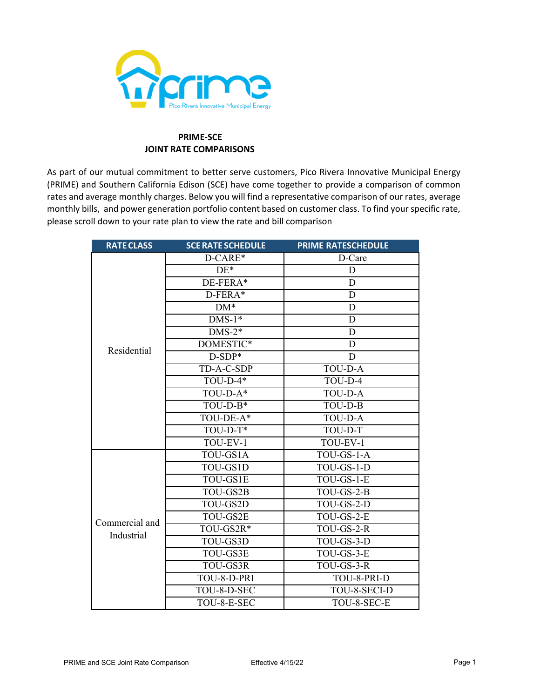

# **PRIME-SCE JOINT RATE COMPARISONS**

As part of our mutual commitment to better serve customers, Pico Rivera Innovative Municipal Energy (PRIME) and Southern California Edison (SCE) have come together to provide a comparison of common rates and average monthly charges. Below you will find a representative comparison of our rates, average monthly bills, and power generation portfolio content based on customer class. To find your specific rate, please scroll down to your rate plan to view the rate and bill comparison

| <b>RATE CLASS</b> | <b>SCE RATE SCHEDULE</b>                                                                                                                                                                                                                                                                                                                                                                              | <b>PRIME RATESCHEDULE</b> |
|-------------------|-------------------------------------------------------------------------------------------------------------------------------------------------------------------------------------------------------------------------------------------------------------------------------------------------------------------------------------------------------------------------------------------------------|---------------------------|
|                   | D-CARE*                                                                                                                                                                                                                                                                                                                                                                                               | D-Care                    |
|                   | $DE*$                                                                                                                                                                                                                                                                                                                                                                                                 | D                         |
|                   | DE-FERA*                                                                                                                                                                                                                                                                                                                                                                                              | D                         |
|                   | D-FERA*<br>$DM*$<br>$DNS-1*$<br>$\overline{\text{DNS-2*}}$<br>DOMESTIC*<br>Residential<br>$D-SDP*$<br>TD-A-C-SDP<br>$TOU-D-4*$<br>TOU-D-A*<br>$TOU-D-B*$<br>TOU-DE-A*<br>$TOU-D-T*$<br>TOU-EV-1<br>TOU-GS1A<br>TOU-GS1D<br>TOU-GS1E<br>TOU-GS2B<br>TOU-GS2D<br>TOU-GS2E<br>Commercial and<br>TOU-GS2R*<br>Industrial<br>TOU-GS3D<br>TOU-GS3E<br>TOU-GS3R<br>TOU-8-D-PRI<br>TOU-8-D-SEC<br>TOU-8-E-SEC | D                         |
|                   |                                                                                                                                                                                                                                                                                                                                                                                                       | D                         |
|                   |                                                                                                                                                                                                                                                                                                                                                                                                       | D                         |
|                   |                                                                                                                                                                                                                                                                                                                                                                                                       | D                         |
|                   |                                                                                                                                                                                                                                                                                                                                                                                                       | D                         |
|                   |                                                                                                                                                                                                                                                                                                                                                                                                       | D                         |
|                   |                                                                                                                                                                                                                                                                                                                                                                                                       | <b>TOU-D-A</b>            |
|                   |                                                                                                                                                                                                                                                                                                                                                                                                       | TOU-D-4                   |
|                   |                                                                                                                                                                                                                                                                                                                                                                                                       | <b>TOU-D-A</b>            |
|                   |                                                                                                                                                                                                                                                                                                                                                                                                       | TOU-D-B                   |
|                   |                                                                                                                                                                                                                                                                                                                                                                                                       | <b>TOU-D-A</b>            |
|                   |                                                                                                                                                                                                                                                                                                                                                                                                       | TOU-D-T                   |
|                   |                                                                                                                                                                                                                                                                                                                                                                                                       | TOU-EV-1                  |
|                   |                                                                                                                                                                                                                                                                                                                                                                                                       | TOU-GS-1-A                |
|                   |                                                                                                                                                                                                                                                                                                                                                                                                       | TOU-GS-1-D                |
|                   |                                                                                                                                                                                                                                                                                                                                                                                                       | $TOU$ -GS-1- $E$          |
|                   |                                                                                                                                                                                                                                                                                                                                                                                                       | $TOU$ -GS-2-B             |
|                   |                                                                                                                                                                                                                                                                                                                                                                                                       | TOU-GS-2-D                |
|                   |                                                                                                                                                                                                                                                                                                                                                                                                       | TOU-GS-2-E                |
|                   |                                                                                                                                                                                                                                                                                                                                                                                                       | TOU-GS-2-R                |
|                   |                                                                                                                                                                                                                                                                                                                                                                                                       | TOU-GS-3-D                |
|                   |                                                                                                                                                                                                                                                                                                                                                                                                       | TOU-GS-3-E                |
|                   |                                                                                                                                                                                                                                                                                                                                                                                                       | TOU-GS-3-R                |
|                   |                                                                                                                                                                                                                                                                                                                                                                                                       | TOU-8-PRI-D               |
|                   |                                                                                                                                                                                                                                                                                                                                                                                                       | TOU-8-SECI-D              |
|                   |                                                                                                                                                                                                                                                                                                                                                                                                       | TOU-8-SEC-E               |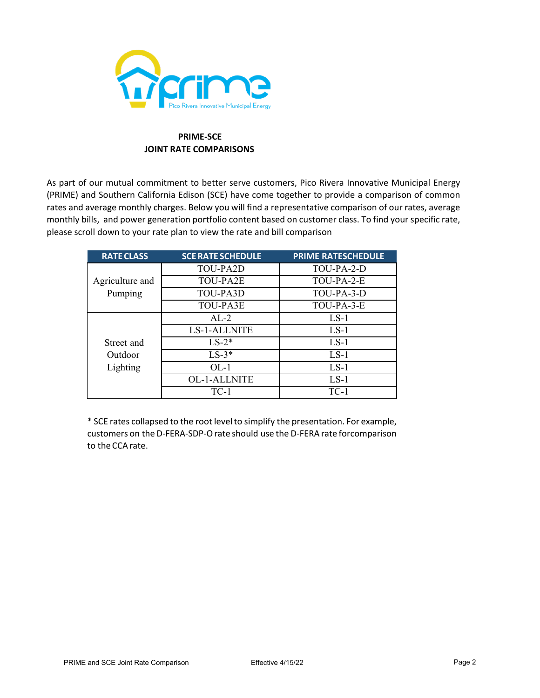

# **PRIME-SCE JOINT RATE COMPARISONS**

As part of our mutual commitment to better serve customers, Pico Rivera Innovative Municipal Energy (PRIME) and Southern California Edison (SCE) have come together to provide a comparison of common rates and average monthly charges. Below you will find a representative comparison of our rates, average monthly bills, and power generation portfolio content based on customer class. To find your specific rate, please scroll down to your rate plan to view the rate and bill comparison

| <b>RATE CLASS</b> | <b>SCE RATE SCHEDULE</b> | <b>PRIME RATESCHEDULE</b> |
|-------------------|--------------------------|---------------------------|
|                   | TOU-PA2D                 | TOU-PA-2-D                |
| Agriculture and   | TOU-PA2E                 | TOU-PA-2-E                |
| Pumping           | TOU-PA3D                 | TOU-PA-3-D                |
|                   | TOU-PA3E                 | TOU-PA-3-E                |
|                   | $AL-2$                   | $LS-1$                    |
|                   | <b>LS-1-ALLNITE</b>      | $LS-1$                    |
| Street and        | $LS-2*$                  | $LS-1$                    |
| Outdoor           | $LS-3*$                  | $LS-1$                    |
| Lighting          | $OL-1$                   | $LS-1$                    |
|                   | <b>OL-1-ALLNITE</b>      | $LS-1$                    |
|                   | $TC-1$                   | $TC-1$                    |

\* SCE rates collapsed to the root level to simplify the presentation. For example, customers on the D-FERA-SDP-O rate should use the D-FERA rate forcomparison to the CCA rate.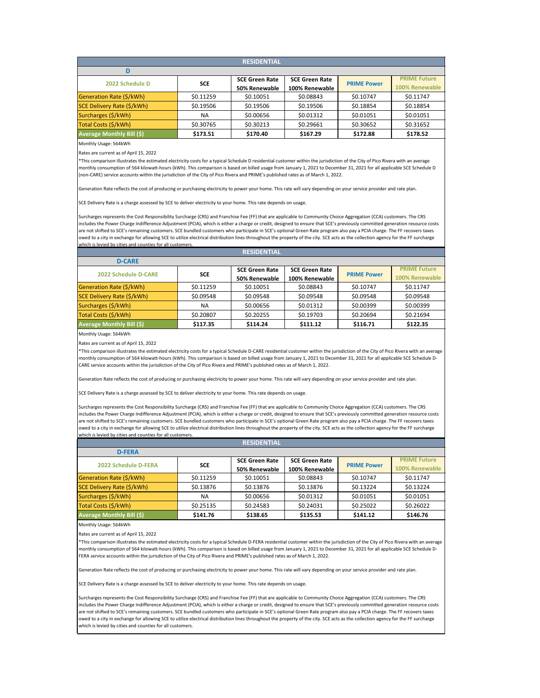| <b>RESIDENTIAL</b> |  |
|--------------------|--|
|                    |  |

| 2022 Schedule D                  |            | <b>SCE Green Rate</b> | <b>SCE Green Rate</b> | <b>PRIME Power</b> | <b>PRIME Future</b> |
|----------------------------------|------------|-----------------------|-----------------------|--------------------|---------------------|
|                                  | <b>SCE</b> | 50% Renewable         | 100% Renewable        |                    | 100% Renewable      |
| Generation Rate (\$/kWh)         | \$0.11259  | \$0.10051             | \$0.08843             | \$0.10747          | \$0.11747           |
| SCE Delivery Rate (\$/kWh)       | \$0.19506  | \$0.19506             | \$0.19506             | \$0.18854          | \$0.18854           |
| Surcharges (\$/kWh)              | <b>NA</b>  | \$0.00656             | \$0.01312             | \$0.01051          | \$0.01051           |
| Total Costs (\$/kWh)             | \$0.30765  | \$0.30213             | \$0.29661             | \$0.30652          | \$0.31652           |
| <b>Average Monthly Bill (\$)</b> | \$173.51   | \$170.40              | \$167.29              | \$172.88           | \$178.52            |

Rates are current as of April 15, 2022

\*This comparison illustrates the estimated electricity costs for a typical Schedule D residential customer within the jurisdiction of the City of Pico Rivera with an average monthly consumption of 564 kilowatt-hours (kWh). This comparison is based on billed usage from January 1, 2021 to December 31, 2021 for all applicable SCE Schedule D (non-CARE) service accounts within the jurisdiction of the City of Pico Rivera and PRIME's published rates as of March 1, 2022.

Generation Rate reflects the cost of producing or purchasing electricity to power your home. This rate will vary depending on your service provider and rate plan.

SCE Delivery Rate is a charge assessed by SCE to deliver electricity to your home. This rate depends on usage.

Surcharges represents the Cost Responsibility Surcharge (CRS) and Franchise Fee (FF) that are applicable to Community Choice Aggregation (CCA) customers. The CRS includes the Power Charge Indifference Adjustment (PCIA), which is either a charge or credit, designed to ensure that SCE's previously committed generation resource costs are not shifted to SCE's remaining customers. SCE bundled customers who participate in SCE's optional Green Rate program also pay a PCIA charge. The FF recovers taxes owed to a city in exchange for allowing SCE to utilize electrical distribution lines throughout the property of the city. SCE acts as the collection agency for the FF surcharge which is levied by cities and counties for all customers.

| <b>RESIDENTIAL</b>                |            |                       |                       |                    |                     |
|-----------------------------------|------------|-----------------------|-----------------------|--------------------|---------------------|
| <b>D-CARE</b>                     |            |                       |                       |                    |                     |
| <b>2022 Schedule D-CARE</b>       | <b>SCE</b> | <b>SCE Green Rate</b> | <b>SCE Green Rate</b> | <b>PRIME Power</b> | <b>PRIME Future</b> |
|                                   |            | 50% Renewable         | 100% Renewable        |                    | 100% Renewable      |
| Generation Rate (\$/kWh)          | \$0.11259  | \$0.10051             | \$0.08843             | \$0.10747          | \$0.11747           |
| <b>SCE Delivery Rate (\$/kWh)</b> | \$0.09548  | \$0.09548             | \$0.09548             | \$0.09548          | \$0.09548           |
| Surcharges (\$/kWh)               | <b>NA</b>  | \$0.00656             | \$0.01312             | \$0.00399          | \$0.00399           |
| Total Costs (\$/kWh)              | \$0.20807  | \$0.20255             | \$0.19703             | \$0.20694          | \$0.21694           |
| <b>Average Monthly Bill (\$)</b>  | \$117.35   | \$114.24              | \$111.12              | \$116.71           | \$122.35            |

Monthly Usage: 564kWh

Rates are current as of April 15, 2022

\*This comparison illustrates the estimated electricity costs for a typical Schedule D-CARE residential customer within the jurisdiction of the City of Pico Rivera with an average monthly consumption of 564 kilowatt-hours (kWh). This comparison is based on billed usage from January 1, 2021 to December 31, 2021 for all applicable SCE Schedule D-CARE service accounts within the jurisdiction of the City of Pico Rivera and PRIME's published rates as of March 1, 2022.

Generation Rate reflects the cost of producing or purchasing electricity to power your home. This rate will vary depending on your service provider and rate plan.

SCE Delivery Rate is a charge assessed by SCE to deliver electricity to your home. This rate depends on usage.

Surcharges represents the Cost Responsibility Surcharge (CRS) and Franchise Fee (FF) that are applicable to Community Choice Aggregation (CCA) customers. The CRS includes the Power Charge Indifference Adjustment (PCIA), which is either a charge or credit, designed to ensure that SCE's previously committed generation resource costs are not shifted to SCE's remaining customers. SCE bundled customers who participate in SCE's optional Green Rate program also pay a PCIA charge. The FF recovers taxes owed to a city in exchange for allowing SCE to utilize electrical distribution lines throughout the property of the city. SCE acts as the collection agency for the FF surcharge which is levied by cities and counties for all customers.

| <b>RESIDENTIAL</b>               |            |                       |                       |                    |                     |
|----------------------------------|------------|-----------------------|-----------------------|--------------------|---------------------|
| <b>D-FERA</b>                    |            |                       |                       |                    |                     |
| 2022 Schedule D-FERA             | <b>SCE</b> | <b>SCE Green Rate</b> | <b>SCE Green Rate</b> | <b>PRIME Power</b> | <b>PRIME Future</b> |
|                                  |            | 50% Renewable         | 100% Renewable        |                    | 100% Renewable      |
| Generation Rate (\$/kWh)         | \$0.11259  | \$0.10051             | \$0.08843             | \$0.10747          | \$0.11747           |
| SCE Delivery Rate (\$/kWh)       | \$0.13876  | \$0.13876             | \$0.13876             | \$0.13224          | \$0.13224           |
| Surcharges (\$/kWh)              | <b>NA</b>  | \$0.00656             | \$0.01312             | \$0.01051          | \$0.01051           |
| Total Costs (\$/kWh)             | \$0.25135  | \$0.24583             | \$0.24031             | \$0.25022          | \$0.26022           |
| <b>Average Monthly Bill (\$)</b> | \$141.76   | \$138.65              | \$135.53              | \$141.12           | \$146.76            |

Monthly Usage: 564kWh

Rates are current as of April 15, 2022

\*This comparison illustrates the estimated electricity costs for a typical Schedule D-FERA residential customer within the jurisdiction of the City of Pico Rivera with an average monthly consumption of 564 kilowatt-hours (kWh). This comparison is based on billed usage from January 1, 2021 to December 31, 2021 for all applicable SCE Schedule D-FERA service accounts within the jurisdiction of the City of Pico Rivera and PRIME's published rates as of March 1, 2022.

Generation Rate reflects the cost of producing or purchasing electricity to power your home. This rate will vary depending on your service provider and rate plan.

SCE Delivery Rate is a charge assessed by SCE to deliver electricity to your home. This rate depends on usage.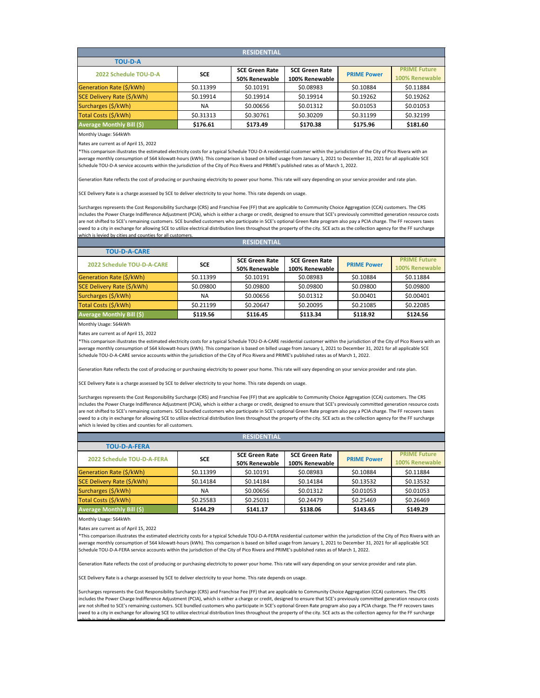| <b>RESIDENTIAL</b>               |            |                       |                       |                    |                     |
|----------------------------------|------------|-----------------------|-----------------------|--------------------|---------------------|
| <b>TOU-D-A</b>                   |            |                       |                       |                    |                     |
| 2022 Schedule TOU-D-A            | <b>SCE</b> | <b>SCE Green Rate</b> | <b>SCE Green Rate</b> | <b>PRIME Power</b> | <b>PRIME Future</b> |
|                                  |            | 50% Renewable         | 100% Renewable        |                    | 100% Renewable      |
| Generation Rate (\$/kWh)         | \$0.11399  | \$0.10191             | \$0.08983             | \$0.10884          | \$0.11884           |
| SCE Delivery Rate (\$/kWh)       | \$0.19914  | \$0.19914             | \$0.19914             | \$0.19262          | \$0.19262           |
| Surcharges (\$/kWh)              | <b>NA</b>  | \$0.00656             | \$0.01312             | \$0.01053          | \$0.01053           |
| Total Costs (\$/kWh)             | \$0.31313  | \$0.30761             | \$0.30209             | \$0.31199          | \$0.32199           |
| <b>Average Monthly Bill (\$)</b> | \$176.61   | \$173.49              | \$170.38              | \$175.96           | \$181.60            |

Rates are current as of April 15, 2022

\*This comparison illustrates the estimated electricity costs for a typical Schedule TOU-D-A residential customer within the jurisdiction of the City of Pico Rivera with an average monthly consumption of 564 kilowatt-hours (kWh). This comparison is based on billed usage from January 1, 2021 to December 31, 2021 for all applicable SCE Schedule TOU-D-A service accounts within the jurisdiction of the City of Pico Rivera and PRIME's published rates as of March 1, 2022.

Generation Rate reflects the cost of producing or purchasing electricity to power your home. This rate will vary depending on your service provider and rate plan.

SCE Delivery Rate is a charge assessed by SCE to deliver electricity to your home. This rate depends on usage.

Surcharges represents the Cost Responsibility Surcharge (CRS) and Franchise Fee (FF) that are applicable to Community Choice Aggregation (CCA) customers. The CRS includes the Power Charge Indifference Adjustment (PCIA), which is either a charge or credit, designed to ensure that SCE's previously committed generation resource costs are not shifted to SCE's remaining customers. SCE bundled customers who participate in SCE's optional Green Rate program also pay a PCIA charge. The FF recovers taxes owed to a city in exchange for allowing SCE to utilize electrical distribution lines throughout the property of the city. SCE acts as the collection agency for the FF surcharge which is levied by cities and counties for all customer

| <b>RESIDENTIAL</b>                |            |                       |                       |                    |                     |
|-----------------------------------|------------|-----------------------|-----------------------|--------------------|---------------------|
| <b>TOU-D-A-CARE</b>               |            |                       |                       |                    |                     |
| <b>2022 Schedule TOU-D-A-CARE</b> | <b>SCE</b> | <b>SCE Green Rate</b> | <b>SCE Green Rate</b> | <b>PRIME Power</b> | <b>PRIME Future</b> |
|                                   |            | 50% Renewable         | 100% Renewable        |                    | 100% Renewable      |
| <b>Generation Rate (\$/kWh)</b>   | \$0.11399  | \$0.10191             | \$0.08983             | \$0.10884          | \$0.11884           |
| SCE Delivery Rate (\$/kWh)        | \$0.09800  | \$0.09800             | \$0.09800             | \$0.09800          | \$0.09800           |
| Surcharges (\$/kWh)               | <b>NA</b>  | \$0.00656             | \$0.01312             | \$0.00401          | \$0.00401           |
| Total Costs (\$/kWh)              | \$0.21199  | \$0.20647             | \$0.20095             | \$0.21085          | \$0.22085           |
| <b>Average Monthly Bill (\$)</b>  | \$119.56   | \$116.45              | \$113.34              | \$118.92           | \$124.56            |

Monthly Usage: 564kWh

Rates are current as of April 15, 2022

\*This comparison illustrates the estimated electricity costs for a typical Schedule TOU-D-A-CARE residential customer within the jurisdiction of the City of Pico Rivera with an average monthly consumption of 564 kilowatt-hours (kWh). This comparison is based on billed usage from January 1, 2021 to December 31, 2021 for all applicable SCE Schedule TOU-D-A-CARE service accounts within the jurisdiction of the City of Pico Rivera and PRIME's published rates as of March 1, 2022.

Generation Rate reflects the cost of producing or purchasing electricity to power your home. This rate will vary depending on your service provider and rate plan.

SCE Delivery Rate is a charge assessed by SCE to deliver electricity to your home. This rate depends on usage.

Surcharges represents the Cost Responsibility Surcharge (CRS) and Franchise Fee (FF) that are applicable to Community Choice Aggregation (CCA) customers. The CRS includes the Power Charge Indifference Adjustment (PCIA), which is either a charge or credit, designed to ensure that SCE's previously committed generation resource costs are not shifted to SCE's remaining customers. SCE bundled customers who participate in SCE's optional Green Rate program also pay a PCIA charge. The FF recovers taxes owed to a city in exchange for allowing SCE to utilize electrical distribution lines throughout the property of the city. SCE acts as the collection agency for the FF surcharge which is levied by cities and counties for all customers.

|                                  |            | <b>RESIDENTIAL</b>    |                       |                    |                       |
|----------------------------------|------------|-----------------------|-----------------------|--------------------|-----------------------|
| <b>TOU-D-A-FERA</b>              |            |                       |                       |                    |                       |
| 2022 Schedule TOU-D-A-FERA       | <b>SCE</b> | <b>SCE Green Rate</b> | <b>SCE Green Rate</b> | <b>PRIME Power</b> | <b>PRIME Future</b>   |
|                                  |            | 50% Renewable         | 100% Renewable        |                    | <b>100% Renewable</b> |
| Generation Rate (\$/kWh)         | \$0.11399  | \$0.10191             | \$0.08983             | \$0.10884          | \$0.11884             |
| SCE Delivery Rate (\$/kWh)       | \$0.14184  | \$0.14184             | \$0.14184             | \$0.13532          | \$0.13532             |
| Surcharges (\$/kWh)              | <b>NA</b>  | \$0.00656             | \$0.01312             | \$0.01053          | \$0.01053             |
| Total Costs (\$/kWh)             | \$0.25583  | \$0.25031             | \$0.24479             | \$0.25469          | \$0.26469             |
| <b>Average Monthly Bill (\$)</b> | \$144.29   | \$141.17              | \$138.06              | \$143.65           | \$149.29              |

Monthly Usage: 564kWh

Rates are current as of April 15, 2022

which is levied by cities and counties for all customers

\*This comparison illustrates the estimated electricity costs for a typical Schedule TOU-D-A-FERA residential customer within the jurisdiction of the City of Pico Rivera with an average monthly consumption of 564 kilowatt-hours (kWh). This comparison is based on billed usage from January 1, 2021 to December 31, 2021 for all applicable SCE Schedule TOU-D-A-FERA service accounts within the jurisdiction of the City of Pico Rivera and PRIME's published rates as of March 1, 2022.

Generation Rate reflects the cost of producing or purchasing electricity to power your home. This rate will vary depending on your service provider and rate plan.

SCE Delivery Rate is a charge assessed by SCE to deliver electricity to your home. This rate depends on usage.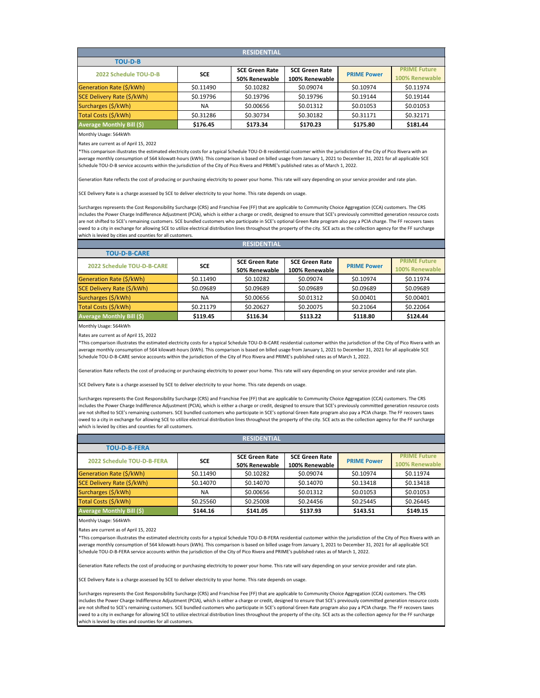| <b>RESIDENTIAL</b>               |            |                       |                       |                    |                     |
|----------------------------------|------------|-----------------------|-----------------------|--------------------|---------------------|
| <b>TOU-D-B</b>                   |            |                       |                       |                    |                     |
| 2022 Schedule TOU-D-B            | <b>SCE</b> | <b>SCE Green Rate</b> | <b>SCE Green Rate</b> | <b>PRIME Power</b> | <b>PRIME Future</b> |
|                                  |            | 50% Renewable         | 100% Renewable        |                    | 100% Renewable      |
| Generation Rate (\$/kWh)         | \$0.11490  | \$0.10282             | \$0.09074             | \$0.10974          | \$0.11974           |
| SCE Delivery Rate (\$/kWh)       | \$0.19796  | \$0.19796             | \$0.19796             | \$0.19144          | \$0.19144           |
| Surcharges (\$/kWh)              | <b>NA</b>  | \$0.00656             | \$0.01312             | \$0.01053          | \$0.01053           |
| Total Costs (\$/kWh)             | \$0.31286  | \$0.30734             | \$0.30182             | \$0.31171          | \$0.32171           |
| <b>Average Monthly Bill (\$)</b> | \$176.45   | \$173.34              | \$170.23              | \$175.80           | \$181.44            |

Rates are current as of April 15, 2022

\*This comparison illustrates the estimated electricity costs for a typical Schedule TOU-D-B residential customer within the jurisdiction of the City of Pico Rivera with an average monthly consumption of 564 kilowatt-hours (kWh). This comparison is based on billed usage from January 1, 2021 to December 31, 2021 for all applicable SCE Schedule TOU-D-B service accounts within the jurisdiction of the City of Pico Rivera and PRIME's published rates as of March 1, 2022.

Generation Rate reflects the cost of producing or purchasing electricity to power your home. This rate will vary depending on your service provider and rate plan.

SCE Delivery Rate is a charge assessed by SCE to deliver electricity to your home. This rate depends on usage.

Surcharges represents the Cost Responsibility Surcharge (CRS) and Franchise Fee (FF) that are applicable to Community Choice Aggregation (CCA) customers. The CRS includes the Power Charge Indifference Adjustment (PCIA), which is either a charge or credit, designed to ensure that SCE's previously committed generation resource costs are not shifted to SCE's remaining customers. SCE bundled customers who participate in SCE's optional Green Rate program also pay a PCIA charge. The FF recovers taxes owed to a city in exchange for allowing SCE to utilize electrical distribution lines throughout the property of the city. SCE acts as the collection agency for the FF surcharge which is levied by cities and counties for all customers.

| <b>RESIDENTIAL</b>                |            |                       |                       |                    |                     |
|-----------------------------------|------------|-----------------------|-----------------------|--------------------|---------------------|
| <b>TOU-D-B-CARE</b>               |            |                       |                       |                    |                     |
| <b>2022 Schedule TOU-D-B-CARE</b> |            | <b>SCE Green Rate</b> | <b>SCE Green Rate</b> |                    | <b>PRIME Future</b> |
|                                   | <b>SCE</b> | 50% Renewable         | 100% Renewable        | <b>PRIME Power</b> | 100% Renewable      |
| Generation Rate (\$/kWh)          | \$0.11490  | \$0.10282             | \$0.09074             | \$0.10974          | \$0.11974           |
| SCE Delivery Rate (\$/kWh)        | \$0.09689  | \$0.09689             | \$0.09689             | \$0.09689          | \$0.09689           |
| Surcharges (\$/kWh)               | <b>NA</b>  | \$0.00656             | \$0.01312             | \$0.00401          | \$0.00401           |
| Total Costs (\$/kWh)              | \$0.21179  | \$0.20627             | \$0.20075             | \$0.21064          | \$0.22064           |
| <b>Average Monthly Bill (\$)</b>  | \$119.45   | \$116.34              | \$113.22              | \$118.80           | \$124.44            |

Monthly Usage: 564kWh

Rates are current as of April 15, 2022

\*This comparison illustrates the estimated electricity costs for a typical Schedule TOU-D-B-CARE residential customer within the jurisdiction of the City of Pico Rivera with an average monthly consumption of 564 kilowatt-hours (kWh). This comparison is based on billed usage from January 1, 2021 to December 31, 2021 for all applicable SCE Schedule TOU-D-B-CARE service accounts within the jurisdiction of the City of Pico Rivera and PRIME's published rates as of March 1, 2022.

Generation Rate reflects the cost of producing or purchasing electricity to power your home. This rate will vary depending on your service provider and rate plan.

SCE Delivery Rate is a charge assessed by SCE to deliver electricity to your home. This rate depends on usage.

Surcharges represents the Cost Responsibility Surcharge (CRS) and Franchise Fee (FF) that are applicable to Community Choice Aggregation (CCA) customers. The CRS includes the Power Charge Indifference Adjustment (PCIA), which is either a charge or credit, designed to ensure that SCE's previously committed generation resource costs are not shifted to SCE's remaining customers. SCE bundled customers who participate in SCE's optional Green Rate program also pay a PCIA charge. The FF recovers taxes owed to a city in exchange for allowing SCE to utilize electrical distribution lines throughout the property of the city. SCE acts as the collection agency for the FF surcharge which is levied by cities and counties for all customers.

|                                   |            | <b>RESIDENTIAL</b>    |                       |                    |                     |
|-----------------------------------|------------|-----------------------|-----------------------|--------------------|---------------------|
| <b>TOU-D-B-FERA</b>               |            |                       |                       |                    |                     |
| <b>2022 Schedule TOU-D-B-FERA</b> | <b>SCE</b> | <b>SCE Green Rate</b> | <b>SCE Green Rate</b> | <b>PRIME Power</b> | <b>PRIME Future</b> |
|                                   |            | 50% Renewable         | 100% Renewable        |                    | 100% Renewable      |
| Generation Rate (\$/kWh)          | \$0.11490  | \$0.10282             | \$0.09074             | \$0.10974          | \$0.11974           |
| SCE Delivery Rate (\$/kWh)        | \$0.14070  | \$0.14070             | \$0.14070             | \$0.13418          | \$0.13418           |
| Surcharges (\$/kWh)               | <b>NA</b>  | \$0.00656             | \$0.01312             | \$0.01053          | \$0.01053           |
| Total Costs (\$/kWh)              | \$0.25560  | \$0.25008             | \$0.24456             | \$0.25445          | \$0.26445           |
| <b>Average Monthly Bill (\$)</b>  | \$144.16   | \$141.05              | \$137.93              | \$143.51           | \$149.15            |

Monthly Usage: 564kWh

Rates are current as of April 15, 2022

\*This comparison illustrates the estimated electricity costs for a typical Schedule TOU-D-B-FERA residential customer within the jurisdiction of the City of Pico Rivera with an average monthly consumption of 564 kilowatt-hours (kWh). This comparison is based on billed usage from January 1, 2021 to December 31, 2021 for all applicable SCE Schedule TOU-D-B-FERA service accounts within the jurisdiction of the City of Pico Rivera and PRIME's published rates as of March 1, 2022.

Generation Rate reflects the cost of producing or purchasing electricity to power your home. This rate will vary depending on your service provider and rate plan.

SCE Delivery Rate is a charge assessed by SCE to deliver electricity to your home. This rate depends on usage.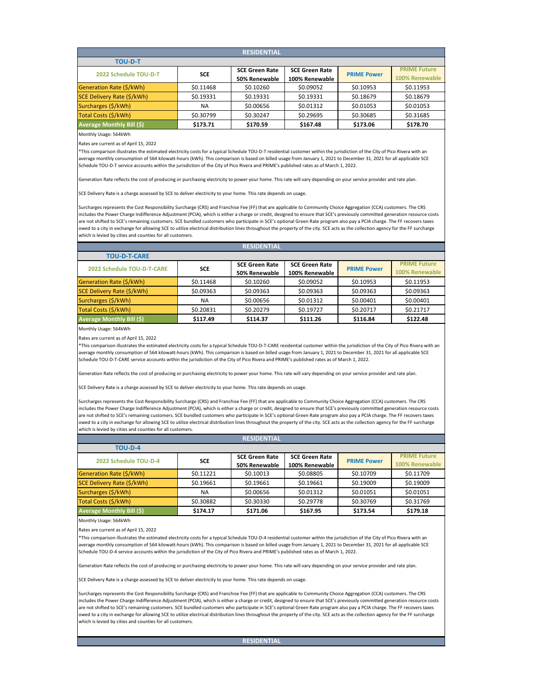| <b>RESIDENTIAL</b>               |            |                       |                       |                    |                     |  |  |  |
|----------------------------------|------------|-----------------------|-----------------------|--------------------|---------------------|--|--|--|
| <b>TOU-D-T</b>                   |            |                       |                       |                    |                     |  |  |  |
| 2022 Schedule TOU-D-T            | <b>SCE</b> | <b>SCE Green Rate</b> | <b>SCE Green Rate</b> | <b>PRIME Power</b> | <b>PRIME Future</b> |  |  |  |
|                                  |            | 50% Renewable         | 100% Renewable        |                    | 100% Renewable      |  |  |  |
| Generation Rate (\$/kWh)         | \$0.11468  | \$0.10260             | \$0.09052             | \$0.10953          | \$0.11953           |  |  |  |
| SCE Delivery Rate (\$/kWh)       | \$0.19331  | \$0.19331             | \$0.19331             | \$0.18679          | \$0.18679           |  |  |  |
| Surcharges (\$/kWh)              | <b>NA</b>  | \$0.00656             | \$0.01312             | \$0.01053          | \$0.01053           |  |  |  |
| Total Costs (\$/kWh)             | \$0.30799  | \$0.30247             | \$0.29695             | \$0.30685          | \$0.31685           |  |  |  |
| <b>Average Monthly Bill (\$)</b> | \$173.71   | \$170.59              | \$167.48              | \$173.06           | \$178.70            |  |  |  |

Rates are current as of April 15, 2022

\*This comparison illustrates the estimated electricity costs for a typical Schedule TOU-D-T residential customer within the jurisdiction of the City of Pico Rivera with an average monthly consumption of 564 kilowatt-hours (kWh). This comparison is based on billed usage from January 1, 2021 to December 31, 2021 for all applicable SCE Schedule TOU-D-T service accounts within the jurisdiction of the City of Pico Rivera and PRIME's published rates as of March 1, 2022.

Generation Rate reflects the cost of producing or purchasing electricity to power your home. This rate will vary depending on your service provider and rate plan.

SCE Delivery Rate is a charge assessed by SCE to deliver electricity to your home. This rate depends on usage.

Surcharges represents the Cost Responsibility Surcharge (CRS) and Franchise Fee (FF) that are applicable to Community Choice Aggregation (CCA) customers. The CRS includes the Power Charge Indifference Adjustment (PCIA), which is either a charge or credit, designed to ensure that SCE's previously committed generation resource costs are not shifted to SCE's remaining customers. SCE bundled customers who participate in SCE's optional Green Rate program also pay a PCIA charge. The FF recovers taxes owed to a city in exchange for allowing SCE to utilize electrical distribution lines throughout the property of the city. SCE acts as the collection agency for the FF surcharge which is levied by cities and counties for all customers.

| <b>RESIDENTIAL</b>                |            |                       |                       |                    |                     |  |  |  |  |
|-----------------------------------|------------|-----------------------|-----------------------|--------------------|---------------------|--|--|--|--|
| <b>TOU-D-T-CARE</b>               |            |                       |                       |                    |                     |  |  |  |  |
| <b>2022 Schedule TOU-D-T-CARE</b> | <b>SCE</b> | <b>SCE Green Rate</b> | <b>SCE Green Rate</b> | <b>PRIME Power</b> | <b>PRIME Future</b> |  |  |  |  |
|                                   |            | 50% Renewable         | 100% Renewable        |                    | 100% Renewable      |  |  |  |  |
| Generation Rate (\$/kWh)          | \$0.11468  | \$0.10260             | \$0.09052             | \$0.10953          | \$0.11953           |  |  |  |  |
| SCE Delivery Rate (\$/kWh)        | \$0.09363  | \$0.09363             | \$0.09363             | \$0.09363          | \$0.09363           |  |  |  |  |
| Surcharges (\$/kWh)               | ΝA         | \$0.00656             | \$0.01312             | \$0.00401          | \$0.00401           |  |  |  |  |
| Total Costs (\$/kWh)              | \$0.20831  | \$0.20279             | \$0.19727             | \$0.20717          | \$0.21717           |  |  |  |  |
| <b>Average Monthly Bill (\$)</b>  | \$117.49   | \$114.37              | \$111.26              | \$116.84           | \$122.48            |  |  |  |  |

Monthly Usage: 564kWh

Rates are current as of April 15, 2022

\*This comparison illustrates the estimated electricity costs for a typical Schedule TOU-D-T-CARE residential customer within the jurisdiction of the City of Pico Rivera with an average monthly consumption of 564 kilowatt-hours (kWh). This comparison is based on billed usage from January 1, 2021 to December 31, 2021 for all applicable SCE Schedule TOU-D-T-CARE service accounts within the jurisdiction of the City of Pico Rivera and PRIME's published rates as of March 1, 2022.

Generation Rate reflects the cost of producing or purchasing electricity to power your home. This rate will vary depending on your service provider and rate plan.

SCE Delivery Rate is a charge assessed by SCE to deliver electricity to your home. This rate depends on usage.

Surcharges represents the Cost Responsibility Surcharge (CRS) and Franchise Fee (FF) that are applicable to Community Choice Aggregation (CCA) customers. The CRS includes the Power Charge Indifference Adjustment (PCIA), which is either a charge or credit, designed to ensure that SCE's previously committed generation resource costs are not shifted to SCE's remaining customers. SCE bundled customers who participate in SCE's optional Green Rate program also pay a PCIA charge. The FF recovers taxes owed to a city in exchange for allowing SCE to utilize electrical distribution lines throughout the property of the city. SCE acts as the collection agency for the FF surcharge which is levied by cities and counties for all customers.

| <b>RESIDENTIAL</b>               |            |                       |                       |                    |                     |  |  |  |
|----------------------------------|------------|-----------------------|-----------------------|--------------------|---------------------|--|--|--|
| <b>TOU-D-4</b>                   |            |                       |                       |                    |                     |  |  |  |
| 2022 Schedule TOU-D-4            | <b>SCE</b> | <b>SCE Green Rate</b> | <b>SCE Green Rate</b> | <b>PRIME Power</b> | <b>PRIME Future</b> |  |  |  |
|                                  |            | 50% Renewable         | 100% Renewable        |                    | 100% Renewable      |  |  |  |
| <b>Generation Rate (\$/kWh)</b>  | \$0.11221  | \$0.10013             | \$0.08805             | \$0.10709          | \$0.11709           |  |  |  |
| SCE Delivery Rate (\$/kWh)       | \$0.19661  | \$0.19661             | \$0.19661             | \$0.19009          | \$0.19009           |  |  |  |
| Surcharges (\$/kWh)              | <b>NA</b>  | \$0.00656             | \$0.01312             | \$0.01051          | \$0.01051           |  |  |  |
| Total Costs (\$/kWh)             | \$0.30882  | \$0.30330             | \$0.29778             | \$0.30769          | \$0.31769           |  |  |  |
| <b>Average Monthly Bill (\$)</b> | \$174.17   | \$171.06              | \$167.95              | \$173.54           | \$179.18            |  |  |  |

Monthly Usage: 564kWh

Rates are current as of April 15, 2022

\*This comparison illustrates the estimated electricity costs for a typical Schedule TOU-D-4 residential customer within the jurisdiction of the City of Pico Rivera with an average monthly consumption of 564 kilowatt-hours (kWh). This comparison is based on billed usage from January 1, 2021 to December 31, 2021 for all applicable SCE Schedule TOU-D-4 service accounts within the jurisdiction of the City of Pico Rivera and PRIME's published rates as of March 1, 2022.

Generation Rate reflects the cost of producing or purchasing electricity to power your home. This rate will vary depending on your service provider and rate plan.

SCE Delivery Rate is a charge assessed by SCE to deliver electricity to your home. This rate depends on usage.

Surcharges represents the Cost Responsibility Surcharge (CRS) and Franchise Fee (FF) that are applicable to Community Choice Aggregation (CCA) customers. The CRS includes the Power Charge Indifference Adjustment (PCIA), which is either a charge or credit, designed to ensure that SCE's previously committed generation resource costs are not shifted to SCE's remaining customers. SCE bundled customers who participate in SCE's optional Green Rate program also pay a PCIA charge. The FF recovers taxes owed to a city in exchange for allowing SCE to utilize electrical distribution lines throughout the property of the city. SCE acts as the collection agency for the FF surcharge which is levied by cities and counties for all customers.

**RESIDENTIAL**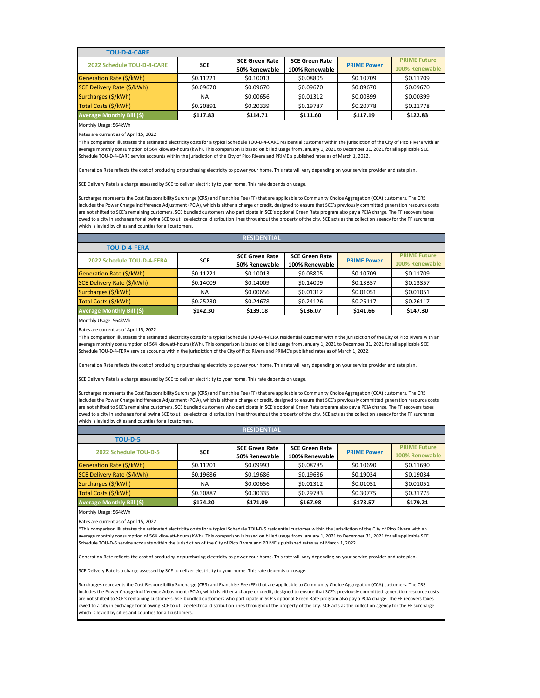| <b>TOU-D-4-CARE</b>              |            |                                        |                                         |                    |                                       |
|----------------------------------|------------|----------------------------------------|-----------------------------------------|--------------------|---------------------------------------|
| 2022 Schedule TOU-D-4-CARE       | <b>SCE</b> | <b>SCE Green Rate</b><br>50% Renewable | <b>SCE Green Rate</b><br>100% Renewable | <b>PRIME Power</b> | <b>PRIME Future</b><br>100% Renewable |
| Generation Rate (\$/kWh)         | \$0.11221  | \$0.10013                              | \$0.08805                               | \$0.10709          | \$0.11709                             |
| SCE Delivery Rate (\$/kWh)       | \$0.09670  | \$0.09670                              | \$0.09670                               | \$0.09670          | \$0.09670                             |
| Surcharges (\$/kWh)              | NA.        | \$0.00656                              | \$0.01312                               | \$0.00399          | \$0.00399                             |
| Total Costs (\$/kWh)             | \$0.20891  | \$0.20339                              | \$0.19787                               | \$0.20778          | \$0.21778                             |
| <b>Average Monthly Bill (\$)</b> | \$117.83   | \$114.71                               | \$111.60                                | \$117.19           | \$122.83                              |

Rates are current as of April 15, 2022

\*This comparison illustrates the estimated electricity costs for a typical Schedule TOU-D-4-CARE residential customer within the jurisdiction of the City of Pico Rivera with an average monthly consumption of 564 kilowatt-hours (kWh). This comparison is based on billed usage from January 1, 2021 to December 31, 2021 for all applicable SCE Schedule TOU-D-4-CARE service accounts within the jurisdiction of the City of Pico Rivera and PRIME's published rates as of March 1, 2022.

Generation Rate reflects the cost of producing or purchasing electricity to power your home. This rate will vary depending on your service provider and rate plan.

SCE Delivery Rate is a charge assessed by SCE to deliver electricity to your home. This rate depends on usage.

Surcharges represents the Cost Responsibility Surcharge (CRS) and Franchise Fee (FF) that are applicable to Community Choice Aggregation (CCA) customers. The CRS includes the Power Charge Indifference Adjustment (PCIA), which is either a charge or credit, designed to ensure that SCE's previously committed generation resource costs are not shifted to SCE's remaining customers. SCE bundled customers who participate in SCE's optional Green Rate program also pay a PCIA charge. The FF recovers taxes owed to a city in exchange for allowing SCE to utilize electrical distribution lines throughout the property of the city. SCE acts as the collection agency for the FF surcharge which is levied by cities and counties for all customers.

| <b>RESIDENTIAL</b>               |            |                       |                       |                    |                     |  |  |  |
|----------------------------------|------------|-----------------------|-----------------------|--------------------|---------------------|--|--|--|
| <b>TOU-D-4-FERA</b>              |            |                       |                       |                    |                     |  |  |  |
| 2022 Schedule TOU-D-4-FERA       |            | <b>SCE Green Rate</b> | <b>SCE Green Rate</b> | <b>PRIME Power</b> | <b>PRIME Future</b> |  |  |  |
|                                  | <b>SCE</b> | 50% Renewable         | 100% Renewable        |                    | 100% Renewable      |  |  |  |
| Generation Rate (\$/kWh)         | \$0.11221  | \$0.10013             | \$0.08805             | \$0.10709          | \$0.11709           |  |  |  |
| SCE Delivery Rate (\$/kWh)       | \$0.14009  | \$0.14009             | \$0.14009             | \$0.13357          | \$0.13357           |  |  |  |
| Surcharges (\$/kWh)              | <b>NA</b>  | \$0.00656             | \$0.01312             | \$0.01051          | \$0.01051           |  |  |  |
| Total Costs (\$/kWh)             | \$0.25230  | \$0.24678             | \$0.24126             | \$0.25117          | \$0.26117           |  |  |  |
| <b>Average Monthly Bill (\$)</b> | \$142.30   | \$139.18              | \$136.07              | \$141.66           | \$147.30            |  |  |  |

Monthly Usage: 564kWh

Rates are current as of April 15, 2022

\*This comparison illustrates the estimated electricity costs for a typical Schedule TOU-D-4-FERA residential customer within the jurisdiction of the City of Pico Rivera with an average monthly consumption of 564 kilowatt-hours (kWh). This comparison is based on billed usage from January 1, 2021 to December 31, 2021 for all applicable SCE Schedule TOU-D-4-FERA service accounts within the jurisdiction of the City of Pico Rivera and PRIME's published rates as of March 1, 2022.

Generation Rate reflects the cost of producing or purchasing electricity to power your home. This rate will vary depending on your service provider and rate plan.

#### SCE Delivery Rate is a charge assessed by SCE to deliver electricity to your home. This rate depends on usage.

Surcharges represents the Cost Responsibility Surcharge (CRS) and Franchise Fee (FF) that are applicable to Community Choice Aggregation (CCA) customers. The CRS includes the Power Charge Indifference Adjustment (PCIA), which is either a charge or credit, designed to ensure that SCE's previously committed generation resource costs are not shifted to SCE's remaining customers. SCE bundled customers who participate in SCE's optional Green Rate program also pay a PCIA charge. The FF recovers taxes owed to a city in exchange for allowing SCE to utilize electrical distribution lines throughout the property of the city. SCE acts as the collection agency for the FF surcharge which is levied by cities and counties for all customers.

| <b>RESIDENTIAL</b>               |            |                       |                       |                    |                     |  |  |
|----------------------------------|------------|-----------------------|-----------------------|--------------------|---------------------|--|--|
| <b>TOU-D-5</b>                   |            |                       |                       |                    |                     |  |  |
| 2022 Schedule TOU-D-5            | <b>SCE</b> | <b>SCE Green Rate</b> | <b>SCE Green Rate</b> | <b>PRIME Power</b> | <b>PRIME Future</b> |  |  |
|                                  |            | 50% Renewable         | 100% Renewable        |                    | 100% Renewable      |  |  |
| Generation Rate (\$/kWh)         | \$0.11201  | \$0.09993             | \$0.08785             | \$0.10690          | \$0.11690           |  |  |
| SCE Delivery Rate (\$/kWh)       | \$0.19686  | \$0.19686             | \$0.19686             | \$0.19034          | \$0.19034           |  |  |
| Surcharges (\$/kWh)              | ΝA         | \$0.00656             | \$0.01312             | \$0.01051          | \$0.01051           |  |  |
| Total Costs (\$/kWh)             | \$0.30887  | \$0.30335             | \$0.29783             | \$0.30775          | \$0.31775           |  |  |
| <b>Average Monthly Bill (\$)</b> | \$174.20   | \$171.09              | \$167.98              | \$173.57           | \$179.21            |  |  |

Monthly Usage: 564kWh

Rates are current as of April 15, 2022

\*This comparison illustrates the estimated electricity costs for a typical Schedule TOU-D-5 residential customer within the jurisdiction of the City of Pico Rivera with an average monthly consumption of 564 kilowatt-hours (kWh). This comparison is based on billed usage from January 1, 2021 to December 31, 2021 for all applicable SCE Schedule TOU-D-5 service accounts within the jurisdiction of the City of Pico Rivera and PRIME's published rates as of March 1, 2022.

Generation Rate reflects the cost of producing or purchasing electricity to power your home. This rate will vary depending on your service provider and rate plan.

SCE Delivery Rate is a charge assessed by SCE to deliver electricity to your home. This rate depends on usage.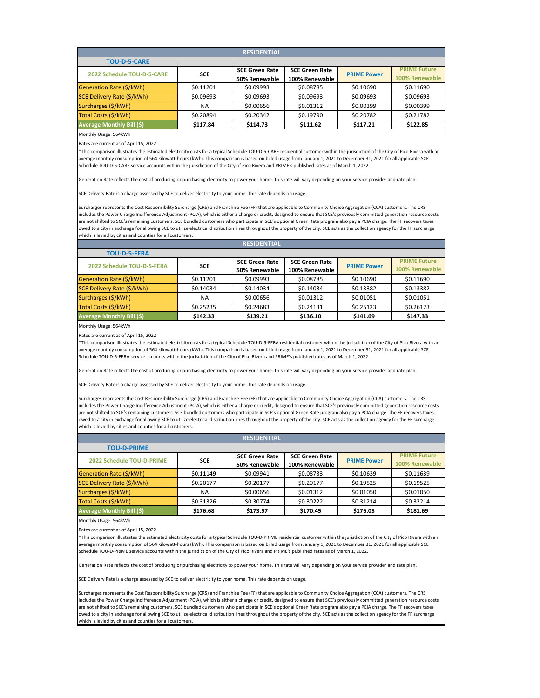| <b>RESIDENTIAL</b>               |            |                       |                       |                    |                     |  |  |  |
|----------------------------------|------------|-----------------------|-----------------------|--------------------|---------------------|--|--|--|
| <b>TOU-D-5-CARE</b>              |            |                       |                       |                    |                     |  |  |  |
| 2022 Schedule TOU-D-5-CARE       | <b>SCE</b> | <b>SCE Green Rate</b> | <b>SCE Green Rate</b> | <b>PRIME Power</b> | <b>PRIME Future</b> |  |  |  |
|                                  |            | 50% Renewable         | 100% Renewable        |                    | 100% Renewable      |  |  |  |
| Generation Rate (\$/kWh)         | \$0.11201  | \$0.09993             | \$0.08785             | \$0.10690          | \$0.11690           |  |  |  |
| SCE Delivery Rate (\$/kWh)       | \$0.09693  | \$0.09693             | \$0.09693             | \$0.09693          | \$0.09693           |  |  |  |
| Surcharges (\$/kWh)              | <b>NA</b>  | \$0.00656             | \$0.01312             | \$0.00399          | \$0.00399           |  |  |  |
| Total Costs (\$/kWh)             | \$0.20894  | \$0.20342             | \$0.19790             | \$0.20782          | \$0.21782           |  |  |  |
| <b>Average Monthly Bill (\$)</b> | \$117.84   | \$114.73              | \$111.62              | \$117.21           | \$122.85            |  |  |  |

Rates are current as of April 15, 2022

\*This comparison illustrates the estimated electricity costs for a typical Schedule TOU-D-5-CARE residential customer within the jurisdiction of the City of Pico Rivera with an average monthly consumption of 564 kilowatt-hours (kWh). This comparison is based on billed usage from January 1, 2021 to December 31, 2021 for all applicable SCE Schedule TOU-D-5-CARE service accounts within the jurisdiction of the City of Pico Rivera and PRIME's published rates as of March 1, 2022.

Generation Rate reflects the cost of producing or purchasing electricity to power your home. This rate will vary depending on your service provider and rate plan.

SCE Delivery Rate is a charge assessed by SCE to deliver electricity to your home. This rate depends on usage.

Surcharges represents the Cost Responsibility Surcharge (CRS) and Franchise Fee (FF) that are applicable to Community Choice Aggregation (CCA) customers. The CRS includes the Power Charge Indifference Adjustment (PCIA), which is either a charge or credit, designed to ensure that SCE's previously committed generation resource costs are not shifted to SCE's remaining customers. SCE bundled customers who participate in SCE's optional Green Rate program also pay a PCIA charge. The FF recovers taxes owed to a city in exchange for allowing SCE to utilize electrical distribution lines throughout the property of the city. SCE acts as the collection agency for the FF surcharge which is levied by cities and counties for all customers.

| <b>RESIDENTIAL</b>               |            |                       |                       |                    |                     |  |  |  |
|----------------------------------|------------|-----------------------|-----------------------|--------------------|---------------------|--|--|--|
| <b>TOU-D-5-FERA</b>              |            |                       |                       |                    |                     |  |  |  |
| 2022 Schedule TOU-D-5-FERA       | <b>SCE</b> | <b>SCE Green Rate</b> | <b>SCE Green Rate</b> | <b>PRIME Power</b> | <b>PRIME Future</b> |  |  |  |
|                                  |            | 50% Renewable         | 100% Renewable        |                    | 100% Renewable      |  |  |  |
| Generation Rate (\$/kWh)         | \$0.11201  | \$0.09993             | \$0.08785             | \$0.10690          | \$0.11690           |  |  |  |
| SCE Delivery Rate (\$/kWh)       | \$0.14034  | \$0.14034             | \$0.14034             | \$0.13382          | \$0.13382           |  |  |  |
| Surcharges (\$/kWh)              | NA         | \$0.00656             | \$0.01312             | \$0.01051          | \$0.01051           |  |  |  |
| Total Costs (\$/kWh)             | \$0.25235  | \$0.24683             | \$0.24131             | \$0.25123          | \$0.26123           |  |  |  |
| <b>Average Monthly Bill (\$)</b> | \$142.33   | \$139.21              | \$136.10              | \$141.69           | \$147.33            |  |  |  |

Monthly Usage: 564kWh

Rates are current as of April 15, 2022

\*This comparison illustrates the estimated electricity costs for a typical Schedule TOU-D-5-FERA residential customer within the jurisdiction of the City of Pico Rivera with an average monthly consumption of 564 kilowatt-hours (kWh). This comparison is based on billed usage from January 1, 2021 to December 31, 2021 for all applicable SCE Schedule TOU-D-5-FERA service accounts within the jurisdiction of the City of Pico Rivera and PRIME's published rates as of March 1, 2022.

Generation Rate reflects the cost of producing or purchasing electricity to power your home. This rate will vary depending on your service provider and rate plan.

SCE Delivery Rate is a charge assessed by SCE to deliver electricity to your home. This rate depends on usage.

Surcharges represents the Cost Responsibility Surcharge (CRS) and Franchise Fee (FF) that are applicable to Community Choice Aggregation (CCA) customers. The CRS includes the Power Charge Indifference Adjustment (PCIA), which is either a charge or credit, designed to ensure that SCE's previously committed generation resource costs are not shifted to SCE's remaining customers. SCE bundled customers who participate in SCE's optional Green Rate program also pay a PCIA charge. The FF recovers taxes owed to a city in exchange for allowing SCE to utilize electrical distribution lines throughout the property of the city. SCE acts as the collection agency for the FF surcharge which is levied by cities and counties for all customers.

| <b>RESIDENTIAL</b>               |            |                       |                       |                    |                     |  |  |  |
|----------------------------------|------------|-----------------------|-----------------------|--------------------|---------------------|--|--|--|
| <b>TOU-D-PRIME</b>               |            |                       |                       |                    |                     |  |  |  |
| <b>2022 Schedule TOU-D-PRIME</b> | <b>SCE</b> | <b>SCE Green Rate</b> | <b>SCE Green Rate</b> | <b>PRIME Power</b> | <b>PRIME Future</b> |  |  |  |
|                                  |            | 50% Renewable         | 100% Renewable        |                    | 100% Renewable      |  |  |  |
| Generation Rate (\$/kWh)         | \$0.11149  | \$0.09941             | \$0.08733             | \$0.10639          | \$0.11639           |  |  |  |
| SCE Delivery Rate (\$/kWh)       | \$0.20177  | \$0.20177             | \$0.20177             | \$0.19525          | \$0.19525           |  |  |  |
| Surcharges (\$/kWh)              | <b>NA</b>  | \$0.00656             | \$0.01312             | \$0.01050          | \$0.01050           |  |  |  |
| Total Costs (\$/kWh)             | \$0.31326  | \$0.30774             | \$0.30222             | \$0.31214          | \$0.32214           |  |  |  |
| <b>Average Monthly Bill (\$)</b> | \$176.68   | \$173.57              | \$170.45              | \$176.05           | \$181.69            |  |  |  |

Monthly Usage: 564kWh

Rates are current as of April 15, 2022

\*This comparison illustrates the estimated electricity costs for a typical Schedule TOU-D-PRIME residential customer within the jurisdiction of the City of Pico Rivera with an average monthly consumption of 564 kilowatt-hours (kWh). This comparison is based on billed usage from January 1, 2021 to December 31, 2021 for all applicable SCE Schedule TOU-D-PRIME service accounts within the jurisdiction of the City of Pico Rivera and PRIME's published rates as of March 1, 2022.

Generation Rate reflects the cost of producing or purchasing electricity to power your home. This rate will vary depending on your service provider and rate plan.

SCE Delivery Rate is a charge assessed by SCE to deliver electricity to your home. This rate depends on usage.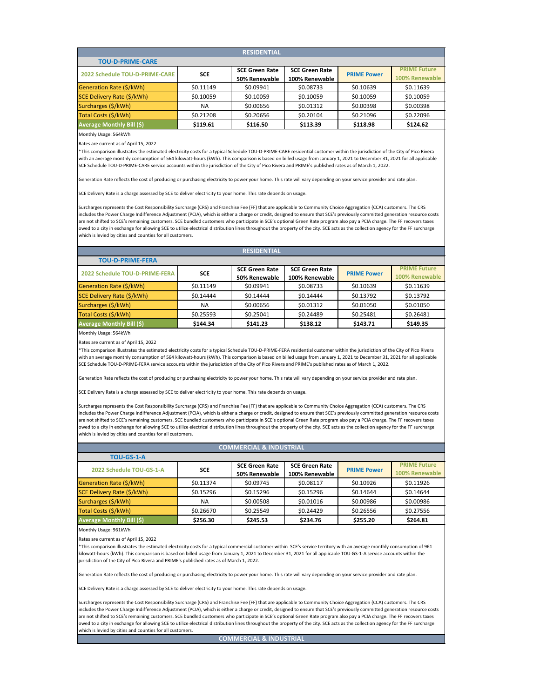| <b>RESIDENTIAL</b>               |            |                       |                       |                    |                     |  |  |  |
|----------------------------------|------------|-----------------------|-----------------------|--------------------|---------------------|--|--|--|
| <b>TOU-D-PRIME-CARE</b>          |            |                       |                       |                    |                     |  |  |  |
| 2022 Schedule TOU-D-PRIME-CARE   | <b>SCE</b> | <b>SCE Green Rate</b> | <b>SCE Green Rate</b> | <b>PRIME Power</b> | <b>PRIME Future</b> |  |  |  |
|                                  |            | 50% Renewable         | 100% Renewable        |                    | 100% Renewable      |  |  |  |
| Generation Rate (\$/kWh)         | \$0.11149  | \$0.09941             | \$0.08733             | \$0.10639          | \$0.11639           |  |  |  |
| SCE Delivery Rate (\$/kWh)       | \$0.10059  | \$0.10059             | \$0.10059             | \$0.10059          | \$0.10059           |  |  |  |
| Surcharges (\$/kWh)              | <b>NA</b>  | \$0.00656             | \$0.01312             | \$0.00398          | \$0.00398           |  |  |  |
| Total Costs (\$/kWh)             | \$0.21208  | \$0.20656             | \$0.20104             | \$0.21096          | \$0.22096           |  |  |  |
| <b>Average Monthly Bill (\$)</b> | \$119.61   | \$116.50              | \$113.39              | \$118.98           | \$124.62            |  |  |  |

Rates are current as of April 15, 2022

\*This comparison illustrates the estimated electricity costs for a typical Schedule TOU-D-PRIME-CARE residential customer within the jurisdiction of the City of Pico Rivera with an average monthly consumption of 564 kilowatt-hours (kWh). This comparison is based on billed usage from January 1, 2021 to December 31, 2021 for all applicable SCE Schedule TOU-D-PRIME-CARE service accounts within the jurisdiction of the City of Pico Rivera and PRIME's published rates as of March 1, 2022.

Generation Rate reflects the cost of producing or purchasing electricity to power your home. This rate will vary depending on your service provider and rate plan.

SCE Delivery Rate is a charge assessed by SCE to deliver electricity to your home. This rate depends on usage.

Surcharges represents the Cost Responsibility Surcharge (CRS) and Franchise Fee (FF) that are applicable to Community Choice Aggregation (CCA) customers. The CRS includes the Power Charge Indifference Adjustment (PCIA), which is either a charge or credit, designed to ensure that SCE's previously committed generation resource costs are not shifted to SCE's remaining customers. SCE bundled customers who participate in SCE's optional Green Rate program also pay a PCIA charge. The FF recovers taxes owed to a city in exchange for allowing SCE to utilize electrical distribution lines throughout the property of the city. SCE acts as the collection agency for the FF surcharge which is levied by cities and counties for all customers.

| <b>RESIDENTIAL</b>                    |                                  |            |                       |                       |                    |                     |  |  |
|---------------------------------------|----------------------------------|------------|-----------------------|-----------------------|--------------------|---------------------|--|--|
| <b>TOU-D-PRIME-FERA</b>               |                                  |            |                       |                       |                    |                     |  |  |
| <b>2022 Schedule TOU-D-PRIME-FERA</b> |                                  | <b>SCE</b> | <b>SCE Green Rate</b> | <b>SCE Green Rate</b> | <b>PRIME Power</b> | <b>PRIME Future</b> |  |  |
|                                       |                                  |            | 50% Renewable         | 100% Renewable        |                    | 100% Renewable      |  |  |
|                                       | Generation Rate (\$/kWh)         | \$0.11149  | \$0.09941             | \$0.08733             | \$0.10639          | \$0.11639           |  |  |
|                                       | SCE Delivery Rate (\$/kWh)       | \$0.14444  | \$0.14444             | \$0.14444             | \$0.13792          | \$0.13792           |  |  |
|                                       | Surcharges (\$/kWh)              | <b>NA</b>  | \$0.00656             | \$0.01312             | \$0.01050          | \$0.01050           |  |  |
|                                       | Total Costs (\$/kWh)             | \$0.25593  | \$0.25041             | \$0.24489             | \$0.25481          | \$0.26481           |  |  |
|                                       | <b>Average Monthly Bill (\$)</b> | \$144.34   | \$141.23              | \$138.12              | \$143.71           | \$149.35            |  |  |
|                                       |                                  |            |                       |                       |                    |                     |  |  |

Monthly Usage: 564kWh

Rates are current as of April 15, 2022

\*This comparison illustrates the estimated electricity costs for a typical Schedule TOU-D-PRIME-FERA residential customer within the jurisdiction of the City of Pico Rivera with an average monthly consumption of 564 kilowatt-hours (kWh). This comparison is based on billed usage from January 1, 2021 to December 31, 2021 for all applicable SCE Schedule TOU-D-PRIME-FERA service accounts within the jurisdiction of the City of Pico Rivera and PRIME's published rates as of March 1, 2022.

Generation Rate reflects the cost of producing or purchasing electricity to power your home. This rate will vary depending on your service provider and rate plan.

SCE Delivery Rate is a charge assessed by SCE to deliver electricity to your home. This rate depends on usage.

Surcharges represents the Cost Responsibility Surcharge (CRS) and Franchise Fee (FF) that are applicable to Community Choice Aggregation (CCA) customers. The CRS includes the Power Charge Indifference Adjustment (PCIA), which is either a charge or credit, designed to ensure that SCE's previously committed generation resource costs are not shifted to SCE's remaining customers. SCE bundled customers who participate in SCE's optional Green Rate program also pay a PCIA charge. The FF recovers taxes owed to a city in exchange for allowing SCE to utilize electrical distribution lines throughout the property of the city. SCE acts as the collection agency for the FF surcharge which is levied by cities and counties for all customers.

| <b>COMMERCIAL &amp; INDUSTRIAL</b> |            |                       |                       |                    |                     |  |  |
|------------------------------------|------------|-----------------------|-----------------------|--------------------|---------------------|--|--|
| <b>TOU-GS-1-A</b>                  |            |                       |                       |                    |                     |  |  |
|                                    | <b>SCE</b> | <b>SCE Green Rate</b> | <b>SCE Green Rate</b> | <b>PRIME Power</b> | <b>PRIME Future</b> |  |  |
| 2022 Schedule TOU-GS-1-A           |            | 50% Renewable         | 100% Renewable        |                    | 100% Renewable      |  |  |
| Generation Rate (\$/kWh)           | \$0.11374  | \$0.09745             | \$0.08117             | \$0.10926          | \$0.11926           |  |  |
| SCE Delivery Rate (\$/kWh)         | \$0.15296  | \$0.15296             | \$0.15296             | \$0.14644          | \$0.14644           |  |  |
| Surcharges (\$/kWh)                | NA.        | \$0.00508             | \$0.01016             | \$0.00986          | \$0.00986           |  |  |
| Total Costs (\$/kWh)               | \$0.26670  | \$0.25549             | \$0.24429             | \$0.26556          | \$0.27556           |  |  |
| <b>Average Monthly Bill (\$)</b>   | \$256.30   | \$245.53              | \$234.76              | \$255.20           | \$264.81            |  |  |
|                                    |            |                       |                       |                    |                     |  |  |

### Monthly Usage: 961kWh

Rates are current as of April 15, 2022

\*This comparison illustrates the estimated electricity costs for a typical commercial customer within SCE's service territory with an average monthly consumption of 961 kilowatt-hours (kWh). This comparison is based on billed usage from January 1, 2021 to December 31, 2021 for all applicable TOU-GS-1-A service accounts within the jurisdiction of the City of Pico Rivera and PRIME's published rates as of March 1, 2022.

Generation Rate reflects the cost of producing or purchasing electricity to power your home. This rate will vary depending on your service provider and rate plan.

SCE Delivery Rate is a charge assessed by SCE to deliver electricity to your home. This rate depends on usage.

Surcharges represents the Cost Responsibility Surcharge (CRS) and Franchise Fee (FF) that are applicable to Community Choice Aggregation (CCA) customers. The CRS includes the Power Charge Indifference Adjustment (PCIA), which is either a charge or credit, designed to ensure that SCE's previously committed generation resource costs are not shifted to SCE's remaining customers. SCE bundled customers who participate in SCE's optional Green Rate program also pay a PCIA charge. The FF recovers taxes owed to a city in exchange for allowing SCE to utilize electrical distribution lines throughout the property of the city. SCE acts as the collection agency for the FF surcharge which is levied by cities and counties for all customers.

**COMMERCIAL & INDUSTRIAL**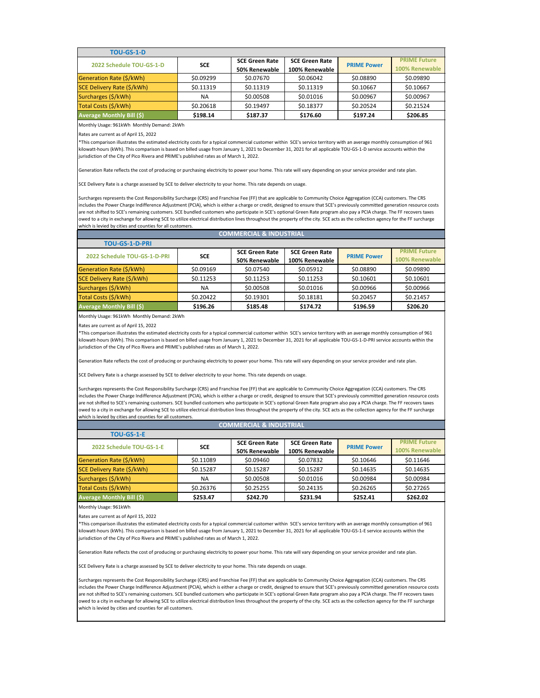| <b>TOU-GS-1-D</b>                |            |                                        |                                         |                    |                                       |
|----------------------------------|------------|----------------------------------------|-----------------------------------------|--------------------|---------------------------------------|
| 2022 Schedule TOU-GS-1-D         | <b>SCE</b> | <b>SCE Green Rate</b><br>50% Renewable | <b>SCE Green Rate</b><br>100% Renewable | <b>PRIME Power</b> | <b>PRIME Future</b><br>100% Renewable |
| Generation Rate (\$/kWh)         | \$0.09299  | \$0.07670                              | \$0.06042                               | \$0.08890          | \$0.09890                             |
| SCE Delivery Rate (\$/kWh)       | \$0.11319  | \$0.11319                              | \$0.11319                               | \$0.10667          | \$0.10667                             |
| Surcharges (\$/kWh)              | ΝA         | \$0.00508                              | \$0.01016                               | \$0.00967          | \$0.00967                             |
| Total Costs (\$/kWh)             | \$0.20618  | \$0.19497                              | \$0.18377                               | \$0.20524          | \$0.21524                             |
| <b>Average Monthly Bill (\$)</b> | \$198.14   | \$187.37                               | \$176.60                                | \$197.24           | \$206.85                              |

Monthly Usage: 961kWh Monthly Demand: 2kWh

Rates are current as of April 15, 2022

\*This comparison illustrates the estimated electricity costs for a typical commercial customer within SCE's service territory with an average monthly consumption of 961 kilowatt-hours (kWh). This comparison is based on billed usage from January 1, 2021 to December 31, 2021 for all applicable TOU-GS-1-D service accounts within the jurisdiction of the City of Pico Rivera and PRIME's published rates as of March 1, 2022.

Generation Rate reflects the cost of producing or purchasing electricity to power your home. This rate will vary depending on your service provider and rate plan.

SCE Delivery Rate is a charge assessed by SCE to deliver electricity to your home. This rate depends on usage.

Surcharges represents the Cost Responsibility Surcharge (CRS) and Franchise Fee (FF) that are applicable to Community Choice Aggregation (CCA) customers. The CRS includes the Power Charge Indifference Adjustment (PCIA), which is either a charge or credit, designed to ensure that SCE's previously committed generation resource costs are not shifted to SCE's remaining customers. SCE bundled customers who participate in SCE's optional Green Rate program also pay a PCIA charge. The FF recovers taxes owed to a city in exchange for allowing SCE to utilize electrical distribution lines throughout the property of the city. SCE acts as the collection agency for the FF surcharge which is levied by cities and counties for all customers.

**COMMERCIAL & INDUSTRIAL**

| CUMINIERCIAL & INDUSTRIAL        |            |                       |                       |                    |                     |  |
|----------------------------------|------------|-----------------------|-----------------------|--------------------|---------------------|--|
| <b>TOU-GS-1-D-PRI</b>            |            |                       |                       |                    |                     |  |
| 2022 Schedule TOU-GS-1-D-PRI     | <b>SCE</b> | <b>SCE Green Rate</b> | <b>SCE Green Rate</b> | <b>PRIME Power</b> | <b>PRIME Future</b> |  |
|                                  |            | 50% Renewable         | 100% Renewable        |                    | 100% Renewable      |  |
| Generation Rate (\$/kWh)         | \$0.09169  | \$0.07540             | \$0.05912             | \$0.08890          | \$0.09890           |  |
| SCE Delivery Rate (\$/kWh)       | \$0.11253  | \$0.11253             | \$0.11253             | \$0.10601          | \$0.10601           |  |
| Surcharges (\$/kWh)              | <b>NA</b>  | \$0.00508             | \$0.01016             | \$0.00966          | \$0.00966           |  |
| Total Costs (\$/kWh)             | \$0.20422  | \$0.19301             | \$0.18181             | \$0.20457          | \$0.21457           |  |
| <b>Average Monthly Bill (\$)</b> | \$196.26   | \$185.48              | \$174.72              | \$196.59           | \$206.20            |  |

Monthly Usage: 961kWh Monthly Demand: 2kWh

Rates are current as of April 15, 2022

\*This comparison illustrates the estimated electricity costs for a typical commercial customer within SCE's service territory with an average monthly consumption of 961 kilowatt-hours (kWh). This comparison is based on billed usage from January 1, 2021 to December 31, 2021 for all applicable TOU-GS-1-D-PRI service accounts within the jurisdiction of the City of Pico Rivera and PRIME's published rates as of March 1, 2022.

Generation Rate reflects the cost of producing or purchasing electricity to power your home. This rate will vary depending on your service provider and rate plan.

SCE Delivery Rate is a charge assessed by SCE to deliver electricity to your home. This rate depends on usage.

Surcharges represents the Cost Responsibility Surcharge (CRS) and Franchise Fee (FF) that are applicable to Community Choice Aggregation (CCA) customers. The CRS includes the Power Charge Indifference Adjustment (PCIA), which is either a charge or credit, designed to ensure that SCE's previously committed generation resource costs are not shifted to SCE's remaining customers. SCE bundled customers who participate in SCE's optional Green Rate program also pay a PCIA charge. The FF recovers taxes owed to a city in exchange for allowing SCE to utilize electrical distribution lines throughout the property of the city. SCE acts as the collection agency for the FF surcharge which is levied by cities and counties for all customers.

## **COMMERCIAL & INDUSTRIAL**

| <b>TOU-GS-1-E</b>                |            |                       |                       |                    |                     |
|----------------------------------|------------|-----------------------|-----------------------|--------------------|---------------------|
| 2022 Schedule TOU-GS-1-E         | <b>SCE</b> | <b>SCE Green Rate</b> | <b>SCE Green Rate</b> | <b>PRIME Power</b> | <b>PRIME Future</b> |
|                                  |            | 50% Renewable         | 100% Renewable        |                    | 100% Renewable      |
| Generation Rate (\$/kWh)         | \$0.11089  | \$0.09460             | \$0.07832             | \$0.10646          | \$0.11646           |
| SCE Delivery Rate (\$/kWh)       | \$0.15287  | \$0.15287             | \$0.15287             | \$0.14635          | \$0.14635           |
| Surcharges (\$/kWh)              | ΝA         | \$0.00508             | \$0.01016             | \$0.00984          | \$0.00984           |
| Total Costs (\$/kWh)             | \$0.26376  | \$0.25255             | \$0.24135             | \$0.26265          | \$0.27265           |
| <b>Average Monthly Bill (\$)</b> | \$253.47   | \$242.70              | \$231.94              | \$252.41           | \$262.02            |

Monthly Usage: 961kWh

Rates are current as of April 15, 2022

\*This comparison illustrates the estimated electricity costs for a typical commercial customer within SCE's service territory with an average monthly consumption of 961 kilowatt-hours (kWh). This comparison is based on billed usage from January 1, 2021 to December 31, 2021 for all applicable TOU-GS-1-E service accounts within the jurisdiction of the City of Pico Rivera and PRIME's published rates as of March 1, 2022.

Generation Rate reflects the cost of producing or purchasing electricity to power your home. This rate will vary depending on your service provider and rate plan.

SCE Delivery Rate is a charge assessed by SCE to deliver electricity to your home. This rate depends on usage.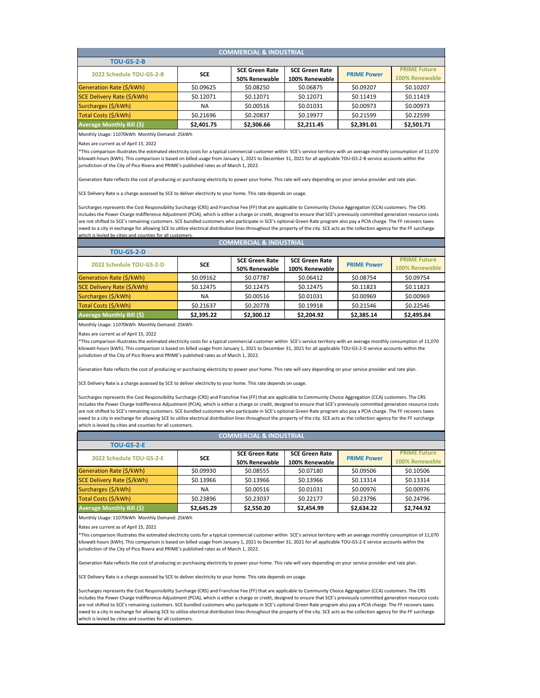| <b>COMMERCIAL &amp; INDUSTRIAL</b> |            |                       |                       |                                 |                     |  |  |
|------------------------------------|------------|-----------------------|-----------------------|---------------------------------|---------------------|--|--|
| <b>TOU-GS-2-B</b>                  |            |                       |                       |                                 |                     |  |  |
| 2022 Schedule TOU-GS-2-B           | <b>SCE</b> | <b>SCE Green Rate</b> | <b>SCE Green Rate</b> |                                 | <b>PRIME Future</b> |  |  |
|                                    |            | 50% Renewable         | 100% Renewable        | <b>PRIME Power</b><br>\$0.09207 | 100% Renewable      |  |  |
| Generation Rate (\$/kWh)           | \$0.09625  | \$0.08250             | \$0.06875             |                                 | \$0.10207           |  |  |
| SCE Delivery Rate (\$/kWh)         | \$0.12071  | \$0.12071             | \$0.12071             | \$0.11419                       | \$0.11419           |  |  |
| Surcharges (\$/kWh)                | <b>NA</b>  | \$0.00516             | \$0.01031             | \$0.00973                       | \$0.00973           |  |  |
| Total Costs (\$/kWh)               | \$0.21696  | \$0.20837             | \$0.19977             | \$0.21599                       | \$0.22599           |  |  |
| <b>Average Monthly Bill (\$)</b>   | \$2,401.75 | \$2,306.66            | \$2,211.45            | \$2,391.01                      | \$2,501.71          |  |  |

Monthly Usage: 11070kWh Monthly Demand: 25kWh

Rates are current as of April 15, 2022

\*This comparison illustrates the estimated electricity costs for a typical commercial customer within SCE's service territory with an average monthly consumption of 11,070 kilowatt-hours (kWh). This comparison is based on billed usage from January 1, 2021 to December 31, 2021 for all applicable TOU-GS-2-B service accounts within the jurisdiction of the City of Pico Rivera and PRIME's published rates as of March 1, 2022.

Generation Rate reflects the cost of producing or purchasing electricity to power your home. This rate will vary depending on your service provider and rate plan.

SCE Delivery Rate is a charge assessed by SCE to deliver electricity to your home. This rate depends on usage.

Surcharges represents the Cost Responsibility Surcharge (CRS) and Franchise Fee (FF) that are applicable to Community Choice Aggregation (CCA) customers. The CRS includes the Power Charge Indifference Adjustment (PCIA), which is either a charge or credit, designed to ensure that SCE's previously committed generation resource costs are not shifted to SCE's remaining customers. SCE bundled customers who participate in SCE's optional Green Rate program also pay a PCIA charge. The FF recovers taxes owed to a city in exchange for allowing SCE to utilize electrical distribution lines throughout the property of the city. SCE acts as the collection agency for the FF surcharge which is levied by cities and counties for all customers

| <b>COMMERCIAL &amp; INDUSTRIAL</b> |            |                       |                       |                    |                     |  |  |
|------------------------------------|------------|-----------------------|-----------------------|--------------------|---------------------|--|--|
| <b>TOU-GS-2-D</b>                  |            |                       |                       |                    |                     |  |  |
| 2022 Schedule TOU-GS-2-D           | <b>SCE</b> | <b>SCE Green Rate</b> | <b>SCE Green Rate</b> | <b>PRIME Power</b> | <b>PRIME Future</b> |  |  |
|                                    |            | 50% Renewable         | 100% Renewable        |                    | 100% Renewable      |  |  |
| Generation Rate (\$/kWh)           | \$0.09162  | \$0.07787             | \$0.06412             | \$0.08754          | \$0.09754           |  |  |
| SCE Delivery Rate (\$/kWh)         | \$0.12475  | \$0.12475             | \$0.12475             | \$0.11823          | \$0.11823           |  |  |
| Surcharges (\$/kWh)                | <b>NA</b>  | \$0.00516             | \$0.01031             | \$0.00969          | \$0.00969           |  |  |
| Total Costs (\$/kWh)               | \$0.21637  | \$0.20778             | \$0.19918             | \$0.21546          | \$0.22546           |  |  |
| <b>Average Monthly Bill (\$)</b>   | \$2,395.22 | \$2,300.12            | \$2,204.92            | \$2,385.14         | \$2,495.84          |  |  |

Monthly Usage: 11070kWh Monthly Demand: 25kWh

Rates are current as of April 15, 2022

\*This comparison illustrates the estimated electricity costs for a typical commercial customer within SCE's service territory with an average monthly consumption of 11,070 kilowatt-hours (kWh). This comparison is based on billed usage from January 1, 2021 to December 31, 2021 for all applicable TOU-GS-2-D service accounts within the jurisdiction of the City of Pico Rivera and PRIME's published rates as of March 1, 2022.

Generation Rate reflects the cost of producing or purchasing electricity to power your home. This rate will vary depending on your service provider and rate plan.

SCE Delivery Rate is a charge assessed by SCE to deliver electricity to your home. This rate depends on usage.

Surcharges represents the Cost Responsibility Surcharge (CRS) and Franchise Fee (FF) that are applicable to Community Choice Aggregation (CCA) customers. The CRS includes the Power Charge Indifference Adjustment (PCIA), which is either a charge or credit, designed to ensure that SCE's previously committed generation resource costs are not shifted to SCE's remaining customers. SCE bundled customers who participate in SCE's optional Green Rate program also pay a PCIA charge. The FF recovers taxes owed to a city in exchange for allowing SCE to utilize electrical distribution lines throughout the property of the city. SCE acts as the collection agency for the FF surcharge which is levied by cities and counties for all customers.

#### **COMMERCIAL & INDUSTRIAL**

| <b>TOU-GS-2-E</b>                |            |                       |                       |                    |                     |
|----------------------------------|------------|-----------------------|-----------------------|--------------------|---------------------|
| 2022 Schedule TOU-GS-2-E         | <b>SCE</b> | <b>SCE Green Rate</b> | <b>SCE Green Rate</b> | <b>PRIME Power</b> | <b>PRIME Future</b> |
|                                  |            | 50% Renewable         | 100% Renewable        |                    | 100% Renewable      |
| Generation Rate (\$/kWh)         | \$0.09930  | \$0.08555             | \$0.07180             | \$0.09506          | \$0.10506           |
| SCE Delivery Rate (\$/kWh)       | \$0.13966  | \$0.13966             | \$0.13966             | \$0.13314          | \$0.13314           |
| Surcharges (\$/kWh)              | NA         | \$0.00516             | \$0.01031             | \$0.00976          | \$0.00976           |
| Total Costs (\$/kWh)             | \$0.23896  | \$0.23037             | \$0.22177             | \$0.23796          | \$0.24796           |
| <b>Average Monthly Bill (\$)</b> | \$2,645.29 | \$2,550.20            | \$2,454.99            | \$2,634.22         | \$2,744.92          |

Monthly Usage: 11070kWh Monthly Demand: 25kWh

Rates are current as of April 15, 2022

\*This comparison illustrates the estimated electricity costs for a typical commercial customer within SCE's service territory with an average monthly consumption of 11,070 kilowatt-hours (kWh). This comparison is based on billed usage from January 1, 2021 to December 31, 2021 for all applicable TOU-GS-2-E service accounts within the jurisdiction of the City of Pico Rivera and PRIME's published rates as of March 1, 2022.

Generation Rate reflects the cost of producing or purchasing electricity to power your home. This rate will vary depending on your service provider and rate plan.

Delivery Rate is a charge assessed by SCE to deliver electricity to your home. This rate depends on usage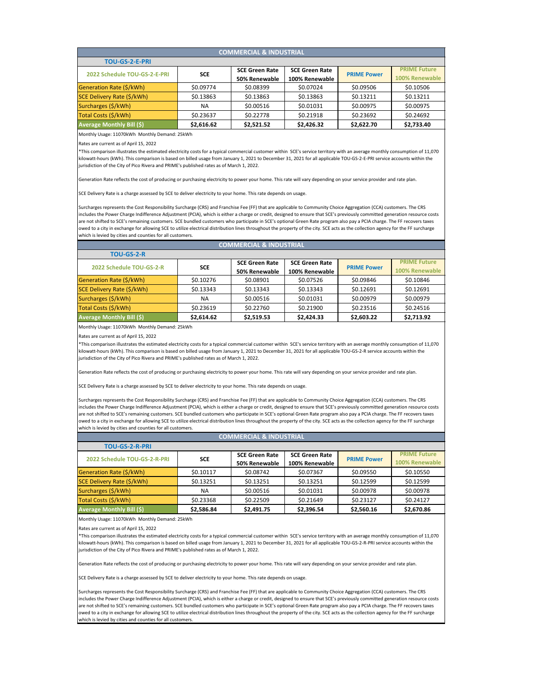| <b>COMMERCIAL &amp; INDUSTRIAL</b> |            |                       |                       |                    |                     |  |  |
|------------------------------------|------------|-----------------------|-----------------------|--------------------|---------------------|--|--|
| <b>TOU-GS-2-E-PRI</b>              |            |                       |                       |                    |                     |  |  |
| 2022 Schedule TOU-GS-2-E-PRI       | <b>SCE</b> | <b>SCE Green Rate</b> | <b>SCE Green Rate</b> | <b>PRIME Power</b> | <b>PRIME Future</b> |  |  |
|                                    |            | 50% Renewable         | 100% Renewable        |                    | 100% Renewable      |  |  |
| Generation Rate (\$/kWh)           | \$0.09774  | \$0.08399             | \$0.07024             | \$0.09506          | \$0.10506           |  |  |
| SCE Delivery Rate (\$/kWh)         | \$0.13863  | \$0.13863             | \$0.13863             | \$0.13211          | \$0.13211           |  |  |
| Surcharges (\$/kWh)                | <b>NA</b>  | \$0.00516             | \$0.01031             | \$0.00975          | \$0.00975           |  |  |
| Total Costs (\$/kWh)               | \$0.23637  | \$0.22778             | \$0.21918             | \$0.23692          | \$0.24692           |  |  |
| <b>Average Monthly Bill (\$)</b>   | \$2,616.62 | \$2,521.52            | \$2,426.32            | \$2,622.70         | \$2,733.40          |  |  |

Monthly Usage: 11070kWh Monthly Demand: 25kWh

Rates are current as of April 15, 2022

\*This comparison illustrates the estimated electricity costs for a typical commercial customer within SCE's service territory with an average monthly consumption of 11,070 kilowatt-hours (kWh). This comparison is based on billed usage from January 1, 2021 to December 31, 2021 for all applicable TOU-GS-2-E-PRI service accounts within the jurisdiction of the City of Pico Rivera and PRIME's published rates as of March 1, 2022.

Generation Rate reflects the cost of producing or purchasing electricity to power your home. This rate will vary depending on your service provider and rate plan.

SCE Delivery Rate is a charge assessed by SCE to deliver electricity to your home. This rate depends on usage.

Surcharges represents the Cost Responsibility Surcharge (CRS) and Franchise Fee (FF) that are applicable to Community Choice Aggregation (CCA) customers. The CRS includes the Power Charge Indifference Adjustment (PCIA), which is either a charge or credit, designed to ensure that SCE's previously committed generation resource costs are not shifted to SCE's remaining customers. SCE bundled customers who participate in SCE's optional Green Rate program also pay a PCIA charge. The FF recovers taxes owed to a city in exchange for allowing SCE to utilize electrical distribution lines throughout the property of the city. SCE acts as the collection agency for the FF surcharge which is levied by cities and counties for all customers.

| <b>COMMERCIAL &amp; INDUSTRIAL</b> |            |                       |                       |                    |                     |  |  |
|------------------------------------|------------|-----------------------|-----------------------|--------------------|---------------------|--|--|
| <b>TOU-GS-2-R</b>                  |            |                       |                       |                    |                     |  |  |
| 2022 Schedule TOU-GS-2-R           | <b>SCE</b> | <b>SCE Green Rate</b> | <b>SCE Green Rate</b> |                    | <b>PRIME Future</b> |  |  |
|                                    |            | 50% Renewable         | 100% Renewable        | <b>PRIME Power</b> | 100% Renewable      |  |  |
| Generation Rate (\$/kWh)           | \$0.10276  | \$0.08901             | \$0.07526             | \$0.09846          | \$0.10846           |  |  |
| SCE Delivery Rate (\$/kWh)         | \$0.13343  | \$0.13343             | \$0.13343             | \$0.12691          | \$0.12691           |  |  |
| Surcharges (\$/kWh)                | <b>NA</b>  | \$0.00516             | \$0.01031             | \$0.00979          | \$0.00979           |  |  |
| Total Costs (\$/kWh)               | \$0.23619  | \$0.22760             | \$0.21900             | \$0.23516          | \$0.24516           |  |  |
| <b>Average Monthly Bill (\$)</b>   | \$2,614.62 | \$2,519.53            | \$2,424.33            | \$2,603.22         | \$2,713.92          |  |  |

Monthly Usage: 11070kWh Monthly Demand: 25kWh

Rates are current as of April 15, 2022

\*This comparison illustrates the estimated electricity costs for a typical commercial customer within SCE's service territory with an average monthly consumption of 11,070 kilowatt-hours (kWh). This comparison is based on billed usage from January 1, 2021 to December 31, 2021 for all applicable TOU-GS-2-R service accounts within the jurisdiction of the City of Pico Rivera and PRIME's published rates as of March 1, 2022.

Generation Rate reflects the cost of producing or purchasing electricity to power your home. This rate will vary depending on your service provider and rate plan.

SCE Delivery Rate is a charge assessed by SCE to deliver electricity to your home. This rate depends on usage.

Surcharges represents the Cost Responsibility Surcharge (CRS) and Franchise Fee (FF) that are applicable to Community Choice Aggregation (CCA) customers. The CRS includes the Power Charge Indifference Adjustment (PCIA), which is either a charge or credit, designed to ensure that SCE's previously committed generation resource costs are not shifted to SCE's remaining customers. SCE bundled customers who participate in SCE's optional Green Rate program also pay a PCIA charge. The FF recovers taxes owed to a city in exchange for allowing SCE to utilize electrical distribution lines throughout the property of the city. SCE acts as the collection agency for the FF surcharge which is levied by cities and counties for all customers.

| <b>COMMERCIAL &amp; INDUSTRIAL</b> |                       |                       |                                 |                     |  |  |  |
|------------------------------------|-----------------------|-----------------------|---------------------------------|---------------------|--|--|--|
|                                    |                       |                       |                                 |                     |  |  |  |
|                                    | <b>SCE Green Rate</b> | <b>SCE Green Rate</b> | <b>PRIME Power</b><br>\$0.09550 | <b>PRIME Future</b> |  |  |  |
|                                    | 50% Renewable         | 100% Renewable        |                                 | 100% Renewable      |  |  |  |
| \$0.10117                          | \$0.08742             | \$0.07367             |                                 | \$0.10550           |  |  |  |
| \$0.13251                          | \$0.13251             | \$0.13251             | \$0.12599                       | \$0.12599           |  |  |  |
| <b>NA</b>                          | \$0.00516             | \$0.01031             | \$0.00978                       | \$0.00978           |  |  |  |
| \$0.23368                          | \$0.22509             | \$0.21649             | \$0.23127                       | \$0.24127           |  |  |  |
| \$2,586.84                         | \$2,491.75            | \$2,396.54            | \$2,560.16                      | \$2,670.86          |  |  |  |
|                                    | <b>SCE</b>            |                       |                                 |                     |  |  |  |

Monthly Usage: 11070kWh Monthly Demand: 25kWh

Rates are current as of April 15, 2022

\*This comparison illustrates the estimated electricity costs for a typical commercial customer within SCE's service territory with an average monthly consumption of 11,070 kilowatt-hours (kWh). This comparison is based on billed usage from January 1, 2021 to December 31, 2021 for all applicable TOU-GS-2-R-PRI service accounts within the jurisdiction of the City of Pico Rivera and PRIME's published rates as of March 1, 2022.

Generation Rate reflects the cost of producing or purchasing electricity to power your home. This rate will vary depending on your service provider and rate plan.

charge assessed by SCE to deliver electricity to your home. This rate depends on usage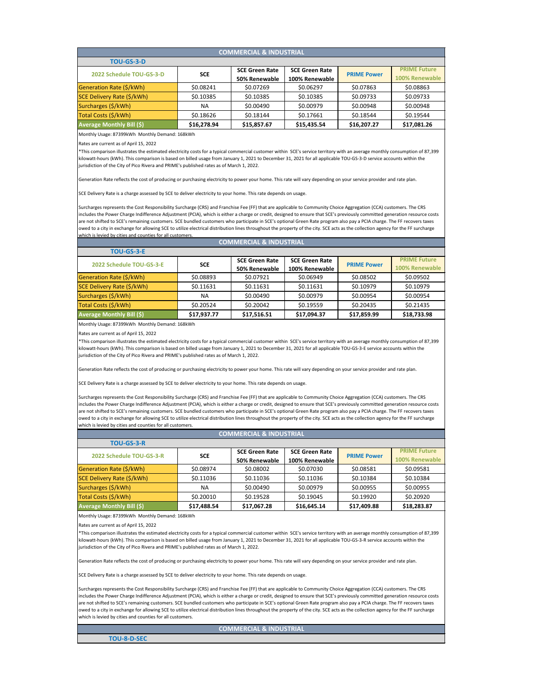| <b>COMMERCIAL &amp; INDUSTRIAL</b> |             |                       |                       |                    |                     |  |  |
|------------------------------------|-------------|-----------------------|-----------------------|--------------------|---------------------|--|--|
| <b>TOU-GS-3-D</b>                  |             |                       |                       |                    |                     |  |  |
| 2022 Schedule TOU-GS-3-D           | <b>SCE</b>  | <b>SCE Green Rate</b> | <b>SCE Green Rate</b> | <b>PRIME Power</b> | <b>PRIME Future</b> |  |  |
|                                    |             | 50% Renewable         | 100% Renewable        | \$0.07863          | 100% Renewable      |  |  |
| Generation Rate (\$/kWh)           | \$0.08241   | \$0.07269             | \$0.06297             |                    | \$0.08863           |  |  |
| SCE Delivery Rate (\$/kWh)         | \$0.10385   | \$0.10385             | \$0.10385             | \$0.09733          | \$0.09733           |  |  |
| Surcharges (\$/kWh)                | <b>NA</b>   | \$0.00490             | \$0.00979             | \$0.00948          | \$0.00948           |  |  |
| Total Costs (\$/kWh)               | \$0.18626   | \$0.18144             | \$0.17661             | \$0.18544          | \$0.19544           |  |  |
| <b>Average Monthly Bill (\$)</b>   | \$16,278.94 | \$15,857.67           | \$15,435.54           | \$16,207.27        | \$17,081.26         |  |  |

Monthly Usage: 87399kWh Monthly Demand: 168kWh

Rates are current as of April 15, 2022

\*This comparison illustrates the estimated electricity costs for a typical commercial customer within SCE's service territory with an average monthly consumption of 87,399 kilowatt-hours (kWh). This comparison is based on billed usage from January 1, 2021 to December 31, 2021 for all applicable TOU-GS-3-D service accounts within the jurisdiction of the City of Pico Rivera and PRIME's published rates as of March 1, 2022.

Generation Rate reflects the cost of producing or purchasing electricity to power your home. This rate will vary depending on your service provider and rate plan.

SCE Delivery Rate is a charge assessed by SCE to deliver electricity to your home. This rate depends on usage.

Surcharges represents the Cost Responsibility Surcharge (CRS) and Franchise Fee (FF) that are applicable to Community Choice Aggregation (CCA) customers. The CRS includes the Power Charge Indifference Adjustment (PCIA), which is either a charge or credit, designed to ensure that SCE's previously committed generation resource costs are not shifted to SCE's remaining customers. SCE bundled customers who participate in SCE's optional Green Rate program also pay a PCIA charge. The FF recovers taxes owed to a city in exchange for allowing SCE to utilize electrical distribution lines throughout the property of the city. SCE acts as the collection agency for the FF surcharge which is levied by cities and counties for all customers

| <b>COMMERCIAL &amp; INDUSTRIAL</b> |             |                       |                       |                    |                     |  |  |
|------------------------------------|-------------|-----------------------|-----------------------|--------------------|---------------------|--|--|
| <b>TOU-GS-3-E</b>                  |             |                       |                       |                    |                     |  |  |
|                                    | <b>SCE</b>  | <b>SCE Green Rate</b> | <b>SCE Green Rate</b> |                    | <b>PRIME Future</b> |  |  |
| 2022 Schedule TOU-GS-3-E           |             | 50% Renewable         | 100% Renewable        | <b>PRIME Power</b> | 100% Renewable      |  |  |
| Generation Rate (\$/kWh)           | \$0.08893   | \$0.07921             | \$0.06949             | \$0.08502          | \$0.09502           |  |  |
| SCE Delivery Rate (\$/kWh)         | \$0.11631   | \$0.11631             | \$0.11631             | \$0.10979          | \$0.10979           |  |  |
| Surcharges (\$/kWh)                | <b>NA</b>   | \$0.00490             | \$0.00979             | \$0.00954          | \$0.00954           |  |  |
| Total Costs (\$/kWh)               | \$0.20524   | \$0.20042             | \$0.19559             | \$0.20435          | \$0.21435           |  |  |
| <b>Average Monthly Bill (\$)</b>   | \$17,937.77 | \$17,516.51           | \$17,094.37           | \$17,859.99        | \$18,733.98         |  |  |

Monthly Usage: 87399kWh Monthly Demand: 168kWh

Rates are current as of April 15, 2022

\*This comparison illustrates the estimated electricity costs for a typical commercial customer within SCE's service territory with an average monthly consumption of 87,399 kilowatt-hours (kWh). This comparison is based on billed usage from January 1, 2021 to December 31, 2021 for all applicable TOU-GS-3-E service accounts within the jurisdiction of the City of Pico Rivera and PRIME's published rates as of March 1, 2022.

Generation Rate reflects the cost of producing or purchasing electricity to power your home. This rate will vary depending on your service provider and rate plan.

SCE Delivery Rate is a charge assessed by SCE to deliver electricity to your home. This rate depends on usage.

Surcharges represents the Cost Responsibility Surcharge (CRS) and Franchise Fee (FF) that are applicable to Community Choice Aggregation (CCA) customers. The CRS includes the Power Charge Indifference Adjustment (PCIA), which is either a charge or credit, designed to ensure that SCE's previously committed generation resource costs are not shifted to SCE's remaining customers. SCE bundled customers who participate in SCE's optional Green Rate program also pay a PCIA charge. The FF recovers taxes owed to a city in exchange for allowing SCE to utilize electrical distribution lines throughout the property of the city. SCE acts as the collection agency for the FF surcharge which is levied by cities and counties for all customers.

| <b>COMMERCIAL &amp; INDUSTRIAL</b> |             |                       |                       |                    |                       |  |  |
|------------------------------------|-------------|-----------------------|-----------------------|--------------------|-----------------------|--|--|
| <b>TOU-GS-3-R</b>                  |             |                       |                       |                    |                       |  |  |
| 2022 Schedule TOU-GS-3-R           | <b>SCE</b>  | <b>SCE Green Rate</b> | <b>SCE Green Rate</b> | <b>PRIME Power</b> | <b>PRIME Future</b>   |  |  |
|                                    |             | 50% Renewable         | 100% Renewable        |                    | <b>100% Renewable</b> |  |  |
| Generation Rate (\$/kWh)           | \$0.08974   | \$0.08002             | \$0.07030             | \$0.08581          | \$0.09581             |  |  |
| SCE Delivery Rate (\$/kWh)         | \$0.11036   | \$0.11036             | \$0.11036             | \$0.10384          | \$0.10384             |  |  |
| Surcharges (\$/kWh)                | NA.         | \$0.00490             | \$0.00979             | \$0.00955          | \$0.00955             |  |  |
| Total Costs (\$/kWh)               | \$0.20010   | \$0.19528             | \$0.19045             | \$0.19920          | \$0.20920             |  |  |
| <b>Average Monthly Bill (\$)</b>   | \$17,488.54 | \$17,067.28           | \$16,645.14           | \$17,409.88        | \$18,283.87           |  |  |

Monthly Usage: 87399kWh Monthly Demand: 168kWh

Rates are current as of April 15, 2022

\*This comparison illustrates the estimated electricity costs for a typical commercial customer within SCE's service territory with an average monthly consumption of 87,399 kilowatt-hours (kWh). This comparison is based on billed usage from January 1, 2021 to December 31, 2021 for all applicable TOU-GS-3-R service accounts within the jurisdiction of the City of Pico Rivera and PRIME's published rates as of March 1, 2022.

Generation Rate reflects the cost of producing or purchasing electricity to power your home. This rate will vary depending on your service provider and rate plan.

SCE Delivery Rate is a charge assessed by SCE to deliver electricity to your home. This rate depends on usage.

Surcharges represents the Cost Responsibility Surcharge (CRS) and Franchise Fee (FF) that are applicable to Community Choice Aggregation (CCA) customers. The CRS includes the Power Charge Indifference Adjustment (PCIA), which is either a charge or credit, designed to ensure that SCE's previously committed generation resource costs are not shifted to SCE's remaining customers. SCE bundled customers who participate in SCE's optional Green Rate program also pay a PCIA charge. The FF recovers taxes owed to a city in exchange for allowing SCE to utilize electrical distribution lines throughout the property of the city. SCE acts as the collection agency for the FF surcharge which is levied by cities and counties for all customers.

**COMMERCIAL & INDUSTRIAL**

**TOU-8-D-SEC**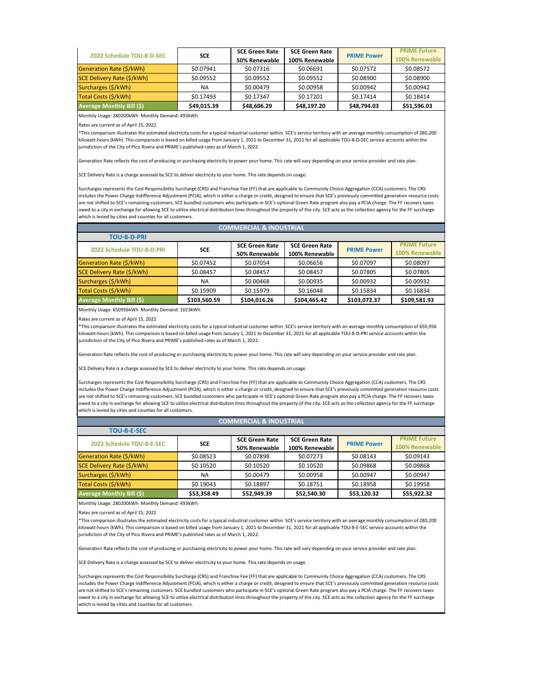|                                  | <b>SCE</b>  | <b>SCE Green Rate</b> | <b>SCE Green Rate</b> |                    | <b>PRIME Future</b> |
|----------------------------------|-------------|-----------------------|-----------------------|--------------------|---------------------|
| 2022 Schedule TOU-8-D-SEC        |             | 50% Renewable         | 100% Renewable        | <b>PRIME Power</b> | 100% Renewable      |
| Generation Rate (\$/kWh)         | \$0.07941   | \$0.07316             | \$0.06691             | \$0.07572          | \$0.08572           |
| SCE Delivery Rate (\$/kWh)       | \$0.09552   | \$0.09552             | \$0.09552             | \$0.08900          | \$0.08900           |
| Surcharges (\$/kWh)              | <b>NA</b>   | \$0.00479             | \$0.00958             | \$0.00942          | \$0.00942           |
| Total Costs (\$/kWh)             | \$0.17493   | \$0.17347             | \$0.17201             | \$0.17414          | \$0.18414           |
| <b>Average Monthly Bill (\$)</b> | \$49,015.39 | \$48,606.29           | \$48,197.20           | \$48,794.03        | \$51,596.03         |

Monthly Usage: 280200kWh Monthly Demand: 493kWh

Rates are current as of April 15, 2022

\*This comparison illustrates the estimated electricity costs for a typical industrial customer within SCE's service territory with an average monthly consumption of 280,200 kilowatt-hours (kWh). This comparison is based on billed usage from January 1, 2021 to December 31, 2021 for all applicable TOU-8-D-SEC service accounts within the jurisdiction of the City of Pico Rivera and PRIME's published rates as of March 1, 2022.

Generation Rate reflects the cost of producing or purchasing electricity to power your home. This rate will vary depending on your service provider and rate plan.

SCE Delivery Rate is a charge assessed by SCE to deliver electricity to your home. This rate depends on usage.

Surcharges represents the Cost Responsibility Surcharge (CRS) and Franchise Fee (FF) that are applicable to Community Choice Aggregation (CCA) customers. The CRS includes the Power Charge Indifference Adjustment (PCIA), which is either a charge or credit, designed to ensure that SCE's previously committed generation resource costs are not shifted to SCE's remaining customers. SCE bundled customers who participate in SCE's optional Green Rate program also pay a PCIA charge. The FF recovers taxes owed to a city in exchange for allowing SCE to utilize electrical distribution lines throughout the property of the city. SCE acts as the collection agency for the FF surcharge which is levied by cities and counties for all customers.

| <b>COMMERCIAL &amp; INDUSTRIAL</b> |              |                       |                       |                    |                     |  |  |
|------------------------------------|--------------|-----------------------|-----------------------|--------------------|---------------------|--|--|
| <b>TOU-8-D-PRI</b>                 |              |                       |                       |                    |                     |  |  |
| 2022 Schedule TOU-8-D-PRI          | <b>SCE</b>   | <b>SCE Green Rate</b> | <b>SCE Green Rate</b> | <b>PRIME Power</b> | <b>PRIME Future</b> |  |  |
|                                    |              | 50% Renewable         | 100% Renewable        |                    | 100% Renewable      |  |  |
| Generation Rate (\$/kWh)           | \$0.07452    | \$0.07054             | \$0.06656             | \$0.07097          | \$0.08097           |  |  |
| SCE Delivery Rate (\$/kWh)         | \$0.08457    | \$0.08457             | \$0.08457             | \$0.07805          | \$0.07805           |  |  |
| Surcharges (\$/kWh)                | ΝA           | \$0.00468             | \$0.00935             | \$0.00932          | \$0.00932           |  |  |
| Total Costs (\$/kWh)               | \$0.15909    | \$0.15979             | \$0.16048             | \$0.15834          | \$0.16834           |  |  |
| <b>Average Monthly Bill (\$)</b>   | \$103,560.59 | \$104,016.26          | \$104,465.42          | \$103,072.37       | \$109,581.93        |  |  |

Monthly Usage: 650956kWh Monthly Demand: 1023kWh

Rates are current as of April 15, 2022

\*This comparison illustrates the estimated electricity costs for a typical industrial customer within SCE's service territory with an average monthly consumption of 650,956 kilowatt-hours (kWh). This comparison is based on billed usage from January 1, 2021 to December 31, 2021 for all applicable TOU-8-D-PRI service accounts within the jurisdiction of the City of Pico Rivera and PRIME's published rates as of March 1, 2022.

Generation Rate reflects the cost of producing or purchasing electricity to power your home. This rate will vary depending on your service provider and rate plan.

SCE Delivery Rate is a charge assessed by SCE to deliver electricity to your home. This rate depends on usage.

Surcharges represents the Cost Responsibility Surcharge (CRS) and Franchise Fee (FF) that are applicable to Community Choice Aggregation (CCA) customers. The CRS includes the Power Charge Indifference Adjustment (PCIA), which is either a charge or credit, designed to ensure that SCE's previously committed generation resource costs are not shifted to SCE's remaining customers. SCE bundled customers who participate in SCE's optional Green Rate program also pay a PCIA charge. The FF recovers taxes owed to a city in exchange for allowing SCE to utilize electrical distribution lines throughout the property of the city. SCE acts as the collection agency for the FF surcharge which is levied by cities and counties for all customers.

# **COMMERCIAL & INDUSTRIAL**

| <b>TOU-8-E-SEC</b>               |             |                                        |                                         |                    |                                       |
|----------------------------------|-------------|----------------------------------------|-----------------------------------------|--------------------|---------------------------------------|
| 2022 Schedule TOU-8-E-SEC        | <b>SCE</b>  | <b>SCE Green Rate</b><br>50% Renewable | <b>SCE Green Rate</b><br>100% Renewable | <b>PRIME Power</b> | <b>PRIME Future</b><br>100% Renewable |
| Generation Rate (\$/kWh)         | \$0.08523   | \$0.07898                              | \$0.07273                               | \$0.08143          | \$0.09143                             |
| SCE Delivery Rate (\$/kWh)       | \$0.10520   | \$0.10520                              | \$0.10520                               | \$0.09868          | \$0.09868                             |
| Surcharges (\$/kWh)              | <b>NA</b>   | \$0.00479                              | \$0.00958                               | \$0.00947          | \$0.00947                             |
| Total Costs (\$/kWh)             | \$0.19043   | \$0.18897                              | \$0.18751                               | \$0.18958          | \$0.19958                             |
| <b>Average Monthly Bill (\$)</b> | \$53,358.49 | \$52,949.39                            | \$52,540.30                             | \$53,120.32        | \$55,922.32                           |

Monthly Usage: 280200kWh Monthly Demand: 493kWh

Rates are current as of April 15, 2022

\*This comparison illustrates the estimated electricity costs for a typical industrial customer within SCE's service territory with an average monthly consumption of 280,200 kilowatt-hours (kWh). This comparison is based on billed usage from January 1, 2021 to December 31, 2021 for all applicable TOU-8-E-SEC service accounts within the jurisdiction of the City of Pico Rivera and PRIME's published rates as of March 1, 2022.

Generation Rate reflects the cost of producing or purchasing electricity to power your home. This rate will vary depending on your service provider and rate plan.

SCE Delivery Rate is a charge assessed by SCE to deliver electricity to your home. This rate depends on usage.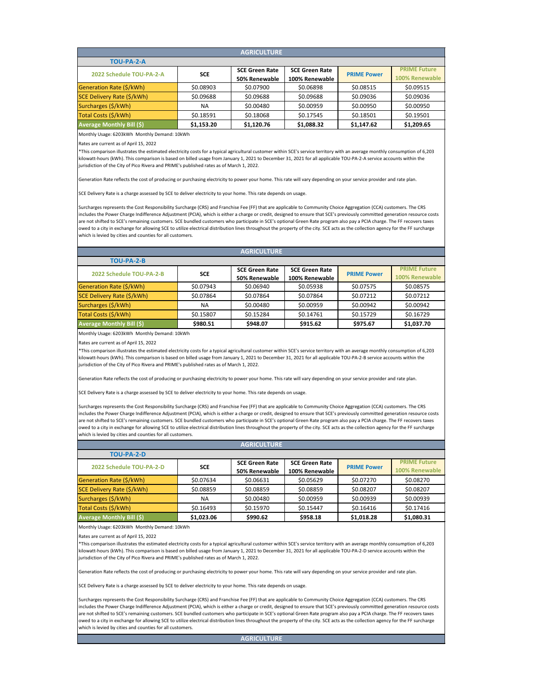| <b>AGRICULTURE</b>               |            |                       |                       |                    |                     |  |  |  |
|----------------------------------|------------|-----------------------|-----------------------|--------------------|---------------------|--|--|--|
| TOU-PA-2-A                       |            |                       |                       |                    |                     |  |  |  |
| 2022 Schedule TOU-PA-2-A         | <b>SCE</b> | <b>SCE Green Rate</b> | <b>SCE Green Rate</b> | <b>PRIME Power</b> | <b>PRIME Future</b> |  |  |  |
|                                  |            | 50% Renewable         | 100% Renewable        |                    | 100% Renewable      |  |  |  |
| Generation Rate (\$/kWh)         | \$0.08903  | \$0.07900             | \$0.06898             | \$0.08515          | \$0.09515           |  |  |  |
| SCE Delivery Rate (\$/kWh)       | \$0.09688  | \$0.09688             | \$0.09688             | \$0.09036          | \$0.09036           |  |  |  |
| Surcharges (\$/kWh)              | <b>NA</b>  | \$0.00480             | \$0.00959             | \$0.00950          | \$0.00950           |  |  |  |
| Total Costs (\$/kWh)             | \$0.18591  | \$0.18068             | \$0.17545             | \$0.18501          | \$0.19501           |  |  |  |
| <b>Average Monthly Bill (\$)</b> | \$1,153.20 | \$1,120.76            | \$1,088.32            | \$1,147.62         | \$1,209.65          |  |  |  |

Monthly Usage: 6203kWh Monthly Demand: 10kWh

Rates are current as of April 15, 2022

\*This comparison illustrates the estimated electricity costs for a typical agricultural customer within SCE's service territory with an average monthly consumption of 6,203 kilowatt-hours (kWh). This comparison is based on billed usage from January 1, 2021 to December 31, 2021 for all applicable TOU-PA-2-A service accounts within the jurisdiction of the City of Pico Rivera and PRIME's published rates as of March 1, 2022.

Generation Rate reflects the cost of producing or purchasing electricity to power your home. This rate will vary depending on your service provider and rate plan.

SCE Delivery Rate is a charge assessed by SCE to deliver electricity to your home. This rate depends on usage.

Surcharges represents the Cost Responsibility Surcharge (CRS) and Franchise Fee (FF) that are applicable to Community Choice Aggregation (CCA) customers. The CRS includes the Power Charge Indifference Adjustment (PCIA), which is either a charge or credit, designed to ensure that SCE's previously committed generation resource costs are not shifted to SCE's remaining customers. SCE bundled customers who participate in SCE's optional Green Rate program also pay a PCIA charge. The FF recovers taxes owed to a city in exchange for allowing SCE to utilize electrical distribution lines throughout the property of the city. SCE acts as the collection agency for the FF surcharge which is levied by cities and counties for all customers.

| <b>AGRICULTURE</b>                |            |                       |                       |                    |                     |  |  |  |
|-----------------------------------|------------|-----------------------|-----------------------|--------------------|---------------------|--|--|--|
| TOU-PA-2-B                        |            |                       |                       |                    |                     |  |  |  |
| 2022 Schedule TOU-PA-2-B          | <b>SCE</b> | <b>SCE Green Rate</b> | <b>SCE Green Rate</b> | <b>PRIME Power</b> | <b>PRIME Future</b> |  |  |  |
|                                   |            | 50% Renewable         | 100% Renewable        |                    | 100% Renewable      |  |  |  |
| Generation Rate (\$/kWh)          | \$0.07943  | \$0.06940             | \$0.05938             | \$0.07575          | \$0.08575           |  |  |  |
| <b>SCE Delivery Rate (\$/kWh)</b> | \$0.07864  | \$0.07864             | \$0.07864             | \$0.07212          | \$0.07212           |  |  |  |
| Surcharges (\$/kWh)               | <b>NA</b>  | \$0.00480             | \$0.00959             | \$0.00942          | \$0.00942           |  |  |  |
| Total Costs (\$/kWh)              | \$0.15807  | \$0.15284             | \$0.14761             | \$0.15729          | \$0.16729           |  |  |  |
| <b>Average Monthly Bill (\$)</b>  | \$980.51   | \$948.07              | \$915.62              | \$975.67           | \$1,037.70          |  |  |  |

Monthly Usage: 6203kWh Monthly Demand: 10kWh

Rates are current as of April 15, 2022

\*This comparison illustrates the estimated electricity costs for a typical agricultural customer within SCE's service territory with an average monthly consumption of 6,203 kilowatt-hours (kWh). This comparison is based on billed usage from January 1, 2021 to December 31, 2021 for all applicable TOU-PA-2-B service accounts within the jurisdiction of the City of Pico Rivera and PRIME's published rates as of March 1, 2022.

Generation Rate reflects the cost of producing or purchasing electricity to power your home. This rate will vary depending on your service provider and rate plan.

SCE Delivery Rate is a charge assessed by SCE to deliver electricity to your home. This rate depends on usage.

Surcharges represents the Cost Responsibility Surcharge (CRS) and Franchise Fee (FF) that are applicable to Community Choice Aggregation (CCA) customers. The CRS includes the Power Charge Indifference Adjustment (PCIA), which is either a charge or credit, designed to ensure that SCE's previously committed generation resource costs are not shifted to SCE's remaining customers. SCE bundled customers who participate in SCE's optional Green Rate program also pay a PCIA charge. The FF recovers taxes owed to a city in exchange for allowing SCE to utilize electrical distribution lines throughout the property of the city. SCE acts as the collection agency for the FF surcharge which is levied by cities and counties for all customers.

| <b>AGRICULTURE</b>               |            |                       |                       |                    |                     |  |  |  |
|----------------------------------|------------|-----------------------|-----------------------|--------------------|---------------------|--|--|--|
| TOU-PA-2-D                       |            |                       |                       |                    |                     |  |  |  |
| 2022 Schedule TOU-PA-2-D         | <b>SCE</b> | <b>SCE Green Rate</b> | <b>SCE Green Rate</b> | <b>PRIME Power</b> | <b>PRIME Future</b> |  |  |  |
|                                  |            | 50% Renewable         | 100% Renewable        |                    | 100% Renewable      |  |  |  |
| Generation Rate (\$/kWh)         | \$0.07634  | \$0.06631             | \$0.05629             | \$0.07270          | \$0.08270           |  |  |  |
| SCE Delivery Rate (\$/kWh)       | \$0.08859  | \$0.08859             | \$0.08859             | \$0.08207          | \$0.08207           |  |  |  |
| Surcharges (\$/kWh)              | <b>NA</b>  | \$0.00480             | \$0.00959             | \$0.00939          | \$0.00939           |  |  |  |
| Total Costs (\$/kWh)             | \$0.16493  | \$0.15970             | \$0.15447             | \$0.16416          | \$0.17416           |  |  |  |
| <b>Average Monthly Bill (\$)</b> | \$1,023.06 | \$990.62              | \$958.18              | \$1,018.28         | \$1,080.31          |  |  |  |

Monthly Usage: 6203kWh Monthly Demand: 10kWh

Rates are current as of April 15, 2022

\*This comparison illustrates the estimated electricity costs for a typical agricultural customer within SCE's service territory with an average monthly consumption of 6,203 kilowatt-hours (kWh). This comparison is based on billed usage from January 1, 2021 to December 31, 2021 for all applicable TOU-PA-2-D service accounts within the jurisdiction of the City of Pico Rivera and PRIME's published rates as of March 1, 2022.

Generation Rate reflects the cost of producing or purchasing electricity to power your home. This rate will vary depending on your service provider and rate plan.

SCE Delivery Rate is a charge assessed by SCE to deliver electricity to your home. This rate depends on usage.

Surcharges represents the Cost Responsibility Surcharge (CRS) and Franchise Fee (FF) that are applicable to Community Choice Aggregation (CCA) customers. The CRS includes the Power Charge Indifference Adjustment (PCIA), which is either a charge or credit, designed to ensure that SCE's previously committed generation resource costs are not shifted to SCE's remaining customers. SCE bundled customers who participate in SCE's optional Green Rate program also pay a PCIA charge. The FF recovers taxes owed to a city in exchange for allowing SCE to utilize electrical distribution lines throughout the property of the city. SCE acts as the collection agency for the FF surcharge which is levied by cities and counties for all customers.

**AGRICULTURE**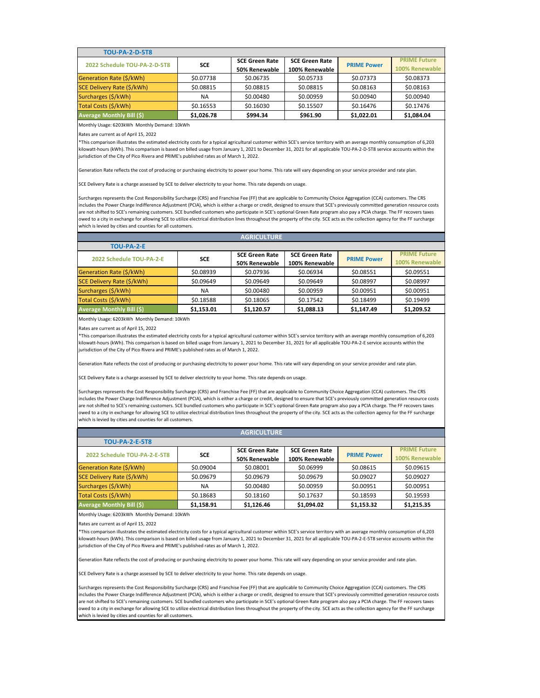| <b>TOU-PA-2-D-5T8</b>            |            |                       |                       |                    |                     |
|----------------------------------|------------|-----------------------|-----------------------|--------------------|---------------------|
| 2022 Schedule TOU-PA-2-D-5T8     | <b>SCE</b> | <b>SCE Green Rate</b> | <b>SCE Green Rate</b> | <b>PRIME Power</b> | <b>PRIME Future</b> |
|                                  |            | 50% Renewable         | 100% Renewable        |                    | 100% Renewable      |
| Generation Rate (\$/kWh)         | \$0.07738  | \$0.06735             | \$0.05733             | \$0.07373          | \$0.08373           |
| SCE Delivery Rate (\$/kWh)       | \$0.08815  | \$0.08815             | \$0.08815             | \$0.08163          | \$0.08163           |
| Surcharges (\$/kWh)              | ΝA         | \$0.00480             | \$0.00959             | \$0.00940          | \$0.00940           |
| Total Costs (\$/kWh)             | \$0.16553  | \$0.16030             | \$0.15507             | \$0.16476          | \$0.17476           |
| <b>Average Monthly Bill (\$)</b> | \$1,026.78 | \$994.34              | \$961.90              | \$1,022.01         | \$1,084.04          |

Monthly Usage: 6203kWh Monthly Demand: 10kWh

Rates are current as of April 15, 2022

\*This comparison illustrates the estimated electricity costs for a typical agricultural customer within SCE's service territory with an average monthly consumption of 6,203 kilowatt-hours (kWh). This comparison is based on billed usage from January 1, 2021 to December 31, 2021 for all applicable TOU-PA-2-D-5T8 service accounts within the jurisdiction of the City of Pico Rivera and PRIME's published rates as of March 1, 2022.

Generation Rate reflects the cost of producing or purchasing electricity to power your home. This rate will vary depending on your service provider and rate plan.

SCE Delivery Rate is a charge assessed by SCE to deliver electricity to your home. This rate depends on usage.

Surcharges represents the Cost Responsibility Surcharge (CRS) and Franchise Fee (FF) that are applicable to Community Choice Aggregation (CCA) customers. The CRS includes the Power Charge Indifference Adjustment (PCIA), which is either a charge or credit, designed to ensure that SCE's previously committed generation resource costs are not shifted to SCE's remaining customers. SCE bundled customers who participate in SCE's optional Green Rate program also pay a PCIA charge. The FF recovers taxes owed to a city in exchange for allowing SCE to utilize electrical distribution lines throughout the property of the city. SCE acts as the collection agency for the FF surcharge which is levied by cities and counties for all customers.

| <b>AGRICULTURE</b>               |            |                       |                       |                    |                     |  |  |  |
|----------------------------------|------------|-----------------------|-----------------------|--------------------|---------------------|--|--|--|
| TOU-PA-2-E                       |            |                       |                       |                    |                     |  |  |  |
| 2022 Schedule TOU-PA-2-E         |            | <b>SCE Green Rate</b> | <b>SCE Green Rate</b> | <b>PRIME Power</b> | <b>PRIME Future</b> |  |  |  |
|                                  | <b>SCE</b> | 50% Renewable         | 100% Renewable        |                    | 100% Renewable      |  |  |  |
| Generation Rate (\$/kWh)         | \$0.08939  | \$0.07936             | \$0.06934             | \$0.08551          | \$0.09551           |  |  |  |
| SCE Delivery Rate (\$/kWh)       | \$0.09649  | \$0.09649             | \$0.09649             | \$0.08997          | \$0.08997           |  |  |  |
| Surcharges (\$/kWh)              | NA         | \$0.00480             | \$0.00959             | \$0.00951          | \$0.00951           |  |  |  |
| Total Costs (\$/kWh)             | \$0.18588  | \$0.18065             | \$0.17542             | \$0.18499          | \$0.19499           |  |  |  |
| <b>Average Monthly Bill (\$)</b> | \$1,153.01 | \$1,120.57            | \$1,088.13            | \$1,147.49         | \$1,209.52          |  |  |  |

Monthly Usage: 6203kWh Monthly Demand: 10kWh

Rates are current as of April 15, 2022

\*This comparison illustrates the estimated electricity costs for a typical agricultural customer within SCE's service territory with an average monthly consumption of 6,203 kilowatt-hours (kWh). This comparison is based on billed usage from January 1, 2021 to December 31, 2021 for all applicable TOU-PA-2-E service accounts within the jurisdiction of the City of Pico Rivera and PRIME's published rates as of March 1, 2022.

Generation Rate reflects the cost of producing or purchasing electricity to power your home. This rate will vary depending on your service provider and rate plan.

SCE Delivery Rate is a charge assessed by SCE to deliver electricity to your home. This rate depends on usage.

Surcharges represents the Cost Responsibility Surcharge (CRS) and Franchise Fee (FF) that are applicable to Community Choice Aggregation (CCA) customers. The CRS includes the Power Charge Indifference Adjustment (PCIA), which is either a charge or credit, designed to ensure that SCE's previously committed generation resource costs are not shifted to SCE's remaining customers. SCE bundled customers who participate in SCE's optional Green Rate program also pay a PCIA charge. The FF recovers taxes owed to a city in exchange for allowing SCE to utilize electrical distribution lines throughout the property of the city. SCE acts as the collection agency for the FF surcharge which is levied by cities and counties for all customers.

| <b>AGRICULTURE</b>               |            |                       |                       |                    |                       |  |  |  |
|----------------------------------|------------|-----------------------|-----------------------|--------------------|-----------------------|--|--|--|
| <b>TOU-PA-2-E-5T8</b>            |            |                       |                       |                    |                       |  |  |  |
| 2022 Schedule TOU-PA-2-E-5T8     | <b>SCE</b> | <b>SCE Green Rate</b> | <b>SCE Green Rate</b> | <b>PRIME Power</b> | <b>PRIME Future</b>   |  |  |  |
|                                  |            | 50% Renewable         | 100% Renewable        |                    | <b>100% Renewable</b> |  |  |  |
| Generation Rate (\$/kWh)         | \$0.09004  | \$0.08001             | \$0.06999             | \$0.08615          | \$0.09615             |  |  |  |
| SCE Delivery Rate (\$/kWh)       | \$0.09679  | \$0.09679             | \$0.09679             | \$0.09027          | \$0.09027             |  |  |  |
| Surcharges (\$/kWh)              | <b>NA</b>  | \$0.00480             | \$0.00959             | \$0.00951          | \$0.00951             |  |  |  |
| Total Costs (\$/kWh)             | \$0.18683  | \$0.18160             | \$0.17637             | \$0.18593          | \$0.19593             |  |  |  |
| <b>Average Monthly Bill (\$)</b> | \$1,158.91 | \$1,126.46            | \$1,094.02            | \$1,153.32         | \$1,215.35            |  |  |  |

Monthly Usage: 6203kWh Monthly Demand: 10kWh

Rates are current as of April 15, 2022

\*This comparison illustrates the estimated electricity costs for a typical agricultural customer within SCE's service territory with an average monthly consumption of 6,203 kilowatt-hours (kWh). This comparison is based on billed usage from January 1, 2021 to December 31, 2021 for all applicable TOU-PA-2-E-5T8 service accounts within the jurisdiction of the City of Pico Rivera and PRIME's published rates as of March 1, 2022.

Generation Rate reflects the cost of producing or purchasing electricity to power your home. This rate will vary depending on your service provider and rate plan.

SCE Delivery Rate is a charge assessed by SCE to deliver electricity to your home. This rate depends on usage.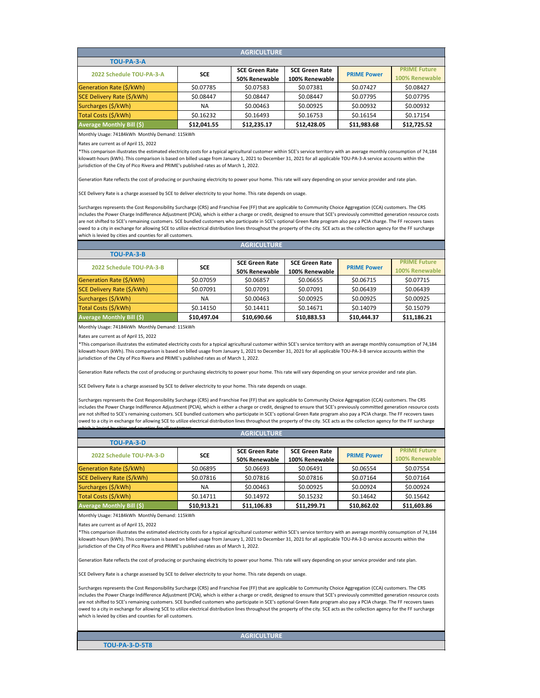| <b>AGRICULTURE</b>               |             |                       |                       |                    |                     |  |  |  |
|----------------------------------|-------------|-----------------------|-----------------------|--------------------|---------------------|--|--|--|
| TOU-PA-3-A                       |             |                       |                       |                    |                     |  |  |  |
| 2022 Schedule TOU-PA-3-A         | <b>SCE</b>  | <b>SCE Green Rate</b> | <b>SCE Green Rate</b> | <b>PRIME Power</b> | <b>PRIME Future</b> |  |  |  |
|                                  |             | 50% Renewable         | 100% Renewable        |                    | 100% Renewable      |  |  |  |
| Generation Rate (\$/kWh)         | \$0.07785   | \$0.07583             | \$0.07381             | \$0.07427          | \$0.08427           |  |  |  |
| SCE Delivery Rate (\$/kWh)       | \$0.08447   | \$0.08447             | \$0.08447             | \$0.07795          | \$0.07795           |  |  |  |
| Surcharges (\$/kWh)              | <b>NA</b>   | \$0.00463             | \$0.00925             | \$0.00932          | \$0.00932           |  |  |  |
| Total Costs (\$/kWh)             | \$0.16232   | \$0.16493             | \$0.16753             | \$0.16154          | \$0.17154           |  |  |  |
| <b>Average Monthly Bill (\$)</b> | \$12,041.55 | \$12,235.17           | \$12,428.05           | \$11,983.68        | \$12,725.52         |  |  |  |

Monthly Usage: 74184kWh Monthly Demand: 115kWh

Rates are current as of April 15, 2022

\*This comparison illustrates the estimated electricity costs for a typical agricultural customer within SCE's service territory with an average monthly consumption of 74,184 kilowatt-hours (kWh). This comparison is based on billed usage from January 1, 2021 to December 31, 2021 for all applicable TOU-PA-3-A service accounts within the jurisdiction of the City of Pico Rivera and PRIME's published rates as of March 1, 2022.

Generation Rate reflects the cost of producing or purchasing electricity to power your home. This rate will vary depending on your service provider and rate plan.

SCE Delivery Rate is a charge assessed by SCE to deliver electricity to your home. This rate depends on usage.

Surcharges represents the Cost Responsibility Surcharge (CRS) and Franchise Fee (FF) that are applicable to Community Choice Aggregation (CCA) customers. The CRS includes the Power Charge Indifference Adjustment (PCIA), which is either a charge or credit, designed to ensure that SCE's previously committed generation resource costs are not shifted to SCE's remaining customers. SCE bundled customers who participate in SCE's optional Green Rate program also pay a PCIA charge. The FF recovers taxes owed to a city in exchange for allowing SCE to utilize electrical distribution lines throughout the property of the city. SCE acts as the collection agency for the FF surcharge which is levied by cities and counties for all customers.

| <b>AGRICULTURE</b>               |             |                       |                       |                    |                     |  |  |  |
|----------------------------------|-------------|-----------------------|-----------------------|--------------------|---------------------|--|--|--|
| TOU-PA-3-B                       |             |                       |                       |                    |                     |  |  |  |
| 2022 Schedule TOU-PA-3-B         | <b>SCE</b>  | <b>SCE Green Rate</b> | <b>SCE Green Rate</b> | <b>PRIME Power</b> | <b>PRIME Future</b> |  |  |  |
|                                  |             | 50% Renewable         | 100% Renewable        |                    | 100% Renewable      |  |  |  |
| Generation Rate (\$/kWh)         | \$0.07059   | \$0.06857             | \$0.06655             | \$0.06715          | \$0.07715           |  |  |  |
| SCE Delivery Rate (\$/kWh)       | \$0.07091   | \$0.07091             | \$0.07091             | \$0.06439          | \$0.06439           |  |  |  |
| Surcharges (\$/kWh)              | NA.         | \$0.00463             | \$0.00925             | \$0.00925          | \$0.00925           |  |  |  |
| Total Costs (\$/kWh)             | \$0.14150   | \$0.14411             | \$0.14671             | \$0.14079          | \$0.15079           |  |  |  |
| <b>Average Monthly Bill (\$)</b> | \$10,497.04 | \$10,690.66           | \$10,883.53           | \$10,444.37        | \$11,186.21         |  |  |  |

Monthly Usage: 74184kWh Monthly Demand: 115kWh

Rates are current as of April 15, 2022

\*This comparison illustrates the estimated electricity costs for a typical agricultural customer within SCE's service territory with an average monthly consumption of 74,184 kilowatt-hours (kWh). This comparison is based on billed usage from January 1, 2021 to December 31, 2021 for all applicable TOU-PA-3-B service accounts within the jurisdiction of the City of Pico Rivera and PRIME's published rates as of March 1, 2022.

Generation Rate reflects the cost of producing or purchasing electricity to power your home. This rate will vary depending on your service provider and rate plan.

SCE Delivery Rate is a charge assessed by SCE to deliver electricity to your home. This rate depends on usage.

Surcharges represents the Cost Responsibility Surcharge (CRS) and Franchise Fee (FF) that are applicable to Community Choice Aggregation (CCA) customers. The CRS includes the Power Charge Indifference Adjustment (PCIA), which is either a charge or credit, designed to ensure that SCE's previously committed generation resource costs are not shifted to SCE's remaining customers. SCE bundled customers who participate in SCE's optional Green Rate program also pay a PCIA charge. The FF recovers taxes owed to a city in exchange for allowing SCE to utilize electrical distribution lines throughout the property of the city. SCE acts as the collection agency for the FF surcharge

| <b>AGRICULTURE</b>                |             |                       |                       |                    |                     |  |  |  |
|-----------------------------------|-------------|-----------------------|-----------------------|--------------------|---------------------|--|--|--|
| TOU-PA-3-D                        |             |                       |                       |                    |                     |  |  |  |
| 2022 Schedule TOU-PA-3-D          | <b>SCE</b>  | <b>SCE Green Rate</b> | <b>SCE Green Rate</b> | <b>PRIME Power</b> | <b>PRIME Future</b> |  |  |  |
|                                   |             | 50% Renewable         | 100% Renewable        |                    | 100% Renewable      |  |  |  |
| Generation Rate (\$/kWh)          | \$0.06895   | \$0.06693             | \$0.06491             | \$0.06554          | \$0.07554           |  |  |  |
| <b>SCE Delivery Rate (\$/kWh)</b> | \$0.07816   | \$0.07816             | \$0.07816             | \$0.07164          | \$0.07164           |  |  |  |
| Surcharges (\$/kWh)               | <b>NA</b>   | \$0.00463             | \$0.00925             | \$0.00924          | \$0.00924           |  |  |  |
| Total Costs (\$/kWh)              | \$0.14711   | \$0.14972             | \$0.15232             | \$0.14642          | \$0.15642           |  |  |  |
| <b>Average Monthly Bill (\$)</b>  | \$10,913.21 | \$11,106.83           | \$11,299.71           | \$10,862.02        | \$11,603.86         |  |  |  |

Monthly Usage: 74184kWh Monthly Demand: 115kWh

which is levied by cities and counties for all customers

Rates are current as of April 15, 2022

\*This comparison illustrates the estimated electricity costs for a typical agricultural customer within SCE's service territory with an average monthly consumption of 74,184 kilowatt-hours (kWh). This comparison is based on billed usage from January 1, 2021 to December 31, 2021 for all applicable TOU-PA-3-D service accounts within the jurisdiction of the City of Pico Rivera and PRIME's published rates as of March 1, 2022.

Generation Rate reflects the cost of producing or purchasing electricity to power your home. This rate will vary depending on your service provider and rate plan.

SCE Delivery Rate is a charge assessed by SCE to deliver electricity to your home. This rate depends on usage.

Surcharges represents the Cost Responsibility Surcharge (CRS) and Franchise Fee (FF) that are applicable to Community Choice Aggregation (CCA) customers. The CRS includes the Power Charge Indifference Adjustment (PCIA), which is either a charge or credit, designed to ensure that SCE's previously committed generation resource costs are not shifted to SCE's remaining customers. SCE bundled customers who participate in SCE's optional Green Rate program also pay a PCIA charge. The FF recovers taxes owed to a city in exchange for allowing SCE to utilize electrical distribution lines throughout the property of the city. SCE acts as the collection agency for the FF surcharge which is levied by cities and counties for all customers.

**AGRICULTURE**

**TOU-PA-3-D-5T8**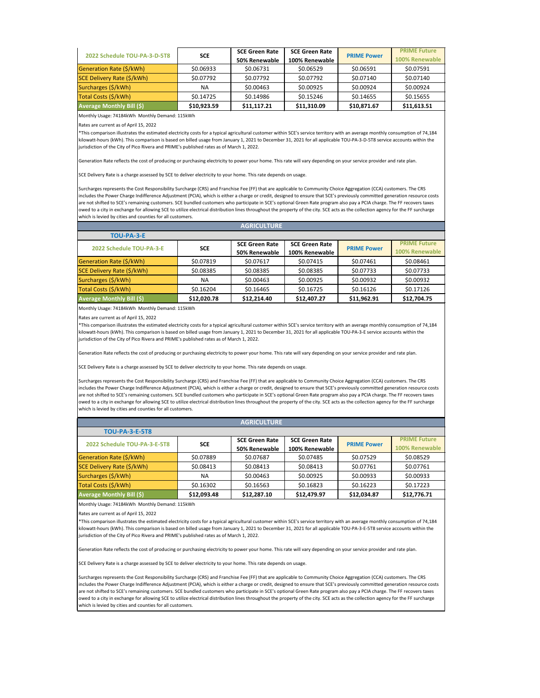| 2022 Schedule TOU-PA-3-D-5T8     | <b>SCE</b>  | <b>SCE Green Rate</b> | <b>SCE Green Rate</b> | <b>PRIME Power</b> | <b>PRIME Future</b> |
|----------------------------------|-------------|-----------------------|-----------------------|--------------------|---------------------|
|                                  |             | 50% Renewable         | 100% Renewable        |                    | 100% Renewable      |
| Generation Rate (\$/kWh)         | \$0.06933   | \$0.06731             | \$0.06529             | \$0.06591          | \$0.07591           |
| SCE Delivery Rate (\$/kWh)       | \$0.07792   | \$0.07792             | \$0.07792             | \$0.07140          | \$0.07140           |
| Surcharges (\$/kWh)              | <b>NA</b>   | \$0.00463             | \$0.00925             | \$0.00924          | \$0.00924           |
| Total Costs (\$/kWh)             | \$0.14725   | \$0.14986             | \$0.15246             | \$0.14655          | \$0.15655           |
| <b>Average Monthly Bill (\$)</b> | \$10,923.59 | \$11,117.21           | \$11,310.09           | \$10,871.67        | \$11,613.51         |

Monthly Usage: 74184kWh Monthly Demand: 115kWh

Rates are current as of April 15, 2022

\*This comparison illustrates the estimated electricity costs for a typical agricultural customer within SCE's service territory with an average monthly consumption of 74,184 kilowatt-hours (kWh). This comparison is based on billed usage from January 1, 2021 to December 31, 2021 for all applicable TOU-PA-3-D-5T8 service accounts within the jurisdiction of the City of Pico Rivera and PRIME's published rates as of March 1, 2022.

Generation Rate reflects the cost of producing or purchasing electricity to power your home. This rate will vary depending on your service provider and rate plan.

SCE Delivery Rate is a charge assessed by SCE to deliver electricity to your home. This rate depends on usage.

Surcharges represents the Cost Responsibility Surcharge (CRS) and Franchise Fee (FF) that are applicable to Community Choice Aggregation (CCA) customers. The CRS includes the Power Charge Indifference Adjustment (PCIA), which is either a charge or credit, designed to ensure that SCE's previously committed generation resource costs are not shifted to SCE's remaining customers. SCE bundled customers who participate in SCE's optional Green Rate program also pay a PCIA charge. The FF recovers taxes owed to a city in exchange for allowing SCE to utilize electrical distribution lines throughout the property of the city. SCE acts as the collection agency for the FF surcharge which is levied by cities and counties for all customers.

| <b>AGRICULTURE</b>         |             |                       |                       |                    |                     |  |
|----------------------------|-------------|-----------------------|-----------------------|--------------------|---------------------|--|
| <b>TOU-PA-3-E</b>          |             |                       |                       |                    |                     |  |
| 2022 Schedule TOU-PA-3-E   |             | <b>SCE Green Rate</b> | <b>SCE Green Rate</b> | <b>PRIME Power</b> | <b>PRIME Future</b> |  |
|                            | <b>SCE</b>  | 50% Renewable         | 100% Renewable        |                    | 100% Renewable      |  |
| Generation Rate (\$/kWh)   | \$0.07819   | \$0.07617             | \$0.07415             | \$0.07461          | \$0.08461           |  |
| SCE Delivery Rate (\$/kWh) | \$0.08385   | \$0.08385             | \$0.08385             | \$0.07733          | \$0.07733           |  |
| Surcharges (\$/kWh)        | <b>NA</b>   | \$0.00463             | \$0.00925             | \$0.00932          | \$0.00932           |  |
| Total Costs (\$/kWh)       | \$0.16204   | \$0.16465             | \$0.16725             | \$0.16126          | \$0.17126           |  |
| Average Monthly Bill (\$)  | \$12,020.78 | \$12,214.40           | \$12,407.27           | \$11,962.91        | \$12,704.75         |  |

Monthly Usage: 74184kWh Monthly Demand: 115kWh

Rates are current as of April 15, 2022

\*This comparison illustrates the estimated electricity costs for a typical agricultural customer within SCE's service territory with an average monthly consumption of 74,184 kilowatt-hours (kWh). This comparison is based on billed usage from January 1, 2021 to December 31, 2021 for all applicable TOU-PA-3-E service accounts within the jurisdiction of the City of Pico Rivera and PRIME's published rates as of March 1, 2022.

Generation Rate reflects the cost of producing or purchasing electricity to power your home. This rate will vary depending on your service provider and rate plan.

SCE Delivery Rate is a charge assessed by SCE to deliver electricity to your home. This rate depends on usage.

Surcharges represents the Cost Responsibility Surcharge (CRS) and Franchise Fee (FF) that are applicable to Community Choice Aggregation (CCA) customers. The CRS includes the Power Charge Indifference Adjustment (PCIA), which is either a charge or credit, designed to ensure that SCE's previously committed generation resource costs are not shifted to SCE's remaining customers. SCE bundled customers who participate in SCE's optional Green Rate program also pay a PCIA charge. The FF recovers taxes owed to a city in exchange for allowing SCE to utilize electrical distribution lines throughout the property of the city. SCE acts as the collection agency for the FF surcharge which is levied by cities and counties for all customers.

| <b>AGRICULTURE</b>               |             |                       |                       |                    |                     |
|----------------------------------|-------------|-----------------------|-----------------------|--------------------|---------------------|
| <b>TOU-PA-3-E-5T8</b>            |             |                       |                       |                    |                     |
| 2022 Schedule TOU-PA-3-E-5T8     | <b>SCE</b>  | <b>SCE Green Rate</b> | <b>SCE Green Rate</b> | <b>PRIME Power</b> | <b>PRIME Future</b> |
|                                  |             | 50% Renewable         | 100% Renewable        |                    | 100% Renewable      |
| Generation Rate (\$/kWh)         | \$0.07889   | \$0.07687             | \$0.07485             | \$0.07529          | \$0.08529           |
| SCE Delivery Rate (\$/kWh)       | \$0.08413   | \$0.08413             | \$0.08413             | \$0.07761          | \$0.07761           |
| Surcharges (\$/kWh)              | <b>NA</b>   | \$0.00463             | \$0.00925             | \$0.00933          | \$0.00933           |
| Total Costs (\$/kWh)             | \$0.16302   | \$0.16563             | \$0.16823             | \$0.16223          | \$0.17223           |
| <b>Average Monthly Bill (\$)</b> | \$12,093.48 | \$12,287.10           | \$12,479.97           | \$12,034.87        | \$12,776.71         |

Monthly Usage: 74184kWh Monthly Demand: 115kWh

Rates are current as of April 15, 2022

\*This comparison illustrates the estimated electricity costs for a typical agricultural customer within SCE's service territory with an average monthly consumption of 74,184 kilowatt-hours (kWh). This comparison is based on billed usage from January 1, 2021 to December 31, 2021 for all applicable TOU-PA-3-E-5T8 service accounts within the jurisdiction of the City of Pico Rivera and PRIME's published rates as of March 1, 2022.

Generation Rate reflects the cost of producing or purchasing electricity to power your home. This rate will vary depending on your service provider and rate plan.

SCE Delivery Rate is a charge assessed by SCE to deliver electricity to your home. This rate depends on usage.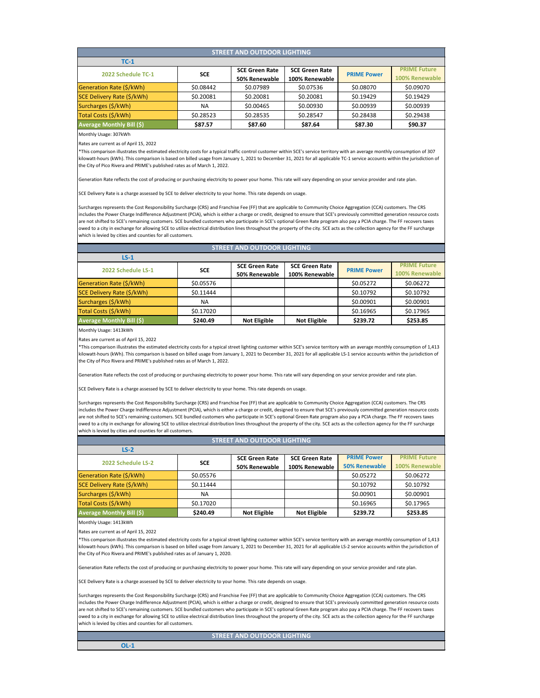| <b>STREET AND OUTDOOR LIGHTING</b> |            |                       |                       |                    |                     |  |
|------------------------------------|------------|-----------------------|-----------------------|--------------------|---------------------|--|
| $TC-1$                             |            |                       |                       |                    |                     |  |
| 2022 Schedule TC-1                 | <b>SCE</b> | <b>SCE Green Rate</b> | <b>SCE Green Rate</b> | <b>PRIME Power</b> | <b>PRIME Future</b> |  |
|                                    |            | 50% Renewable         | 100% Renewable        |                    | 100% Renewable      |  |
| Generation Rate (\$/kWh)           | \$0.08442  | \$0.07989             | \$0.07536             | \$0.08070          | \$0.09070           |  |
| SCE Delivery Rate (\$/kWh)         | \$0.20081  | \$0.20081             | \$0.20081             | \$0.19429          | \$0.19429           |  |
| Surcharges (\$/kWh)                | <b>NA</b>  | \$0.00465             | \$0.00930             | \$0.00939          | \$0.00939           |  |
| Total Costs (\$/kWh)               | \$0.28523  | \$0.28535             | \$0.28547             | \$0.28438          | \$0.29438           |  |
| <b>Average Monthly Bill (\$)</b>   | \$87.57    | \$87.60               | \$87.64               | \$87.30            | \$90.37             |  |

Monthly Usage: 307kWh

Rates are current as of April 15, 2022

\*This comparison illustrates the estimated electricity costs for a typical traffic control customer within SCE's service territory with an average monthly consumption of 307 kilowatt-hours (kWh). This comparison is based on billed usage from January 1, 2021 to December 31, 2021 for all applicable TC-1 service accounts within the jurisdiction of the City of Pico Rivera and PRIME's published rates as of March 1, 2022.

Generation Rate reflects the cost of producing or purchasing electricity to power your home. This rate will vary depending on your service provider and rate plan.

SCE Delivery Rate is a charge assessed by SCE to deliver electricity to your home. This rate depends on usage.

Surcharges represents the Cost Responsibility Surcharge (CRS) and Franchise Fee (FF) that are applicable to Community Choice Aggregation (CCA) customers. The CRS includes the Power Charge Indifference Adjustment (PCIA), which is either a charge or credit, designed to ensure that SCE's previously committed generation resource costs are not shifted to SCE's remaining customers. SCE bundled customers who participate in SCE's optional Green Rate program also pay a PCIA charge. The FF recovers taxes owed to a city in exchange for allowing SCE to utilize electrical distribution lines throughout the property of the city. SCE acts as the collection agency for the FF surcharge which is levied by cities and counties for all customers.

## **STREET AND OUTDOOR LIGHTING**

| $LS-1$                           |            |                       |                       |                    |                     |
|----------------------------------|------------|-----------------------|-----------------------|--------------------|---------------------|
| 2022 Schedule LS-1               | <b>SCE</b> | <b>SCE Green Rate</b> | <b>SCE Green Rate</b> | <b>PRIME Power</b> | <b>PRIME Future</b> |
|                                  |            | 50% Renewable         | 100% Renewable        |                    | 100% Renewable      |
| Generation Rate (\$/kWh)         | \$0.05576  |                       |                       | \$0.05272          | \$0.06272           |
| SCE Delivery Rate (\$/kWh)       | \$0.11444  |                       |                       | \$0.10792          | \$0.10792           |
| Surcharges (\$/kWh)              | NA.        |                       |                       | \$0.00901          | \$0.00901           |
| Total Costs (\$/kWh)             | \$0.17020  |                       |                       | \$0.16965          | \$0.17965           |
| <b>Average Monthly Bill (\$)</b> | \$240.49   | <b>Not Eligible</b>   | <b>Not Eligible</b>   | \$239.72           | \$253.85            |
|                                  |            |                       |                       |                    |                     |

Monthly Usage: 1413kWh

Rates are current as of April 15, 2022

\*This comparison illustrates the estimated electricity costs for a typical street lighting customer within SCE's service territory with an average monthly consumption of 1,413 kilowatt-hours (kWh). This comparison is based on billed usage from January 1, 2021 to December 31, 2021 for all applicable LS-1 service accounts within the jurisdiction of the City of Pico Rivera and PRIME's published rates as of March 1, 2022.

Generation Rate reflects the cost of producing or purchasing electricity to power your home. This rate will vary depending on your service provider and rate plan.

#### SCE Delivery Rate is a charge assessed by SCE to deliver electricity to your home. This rate depends on usage.

Surcharges represents the Cost Responsibility Surcharge (CRS) and Franchise Fee (FF) that are applicable to Community Choice Aggregation (CCA) customers. The CRS includes the Power Charge Indifference Adjustment (PCIA), which is either a charge or credit, designed to ensure that SCE's previously committed generation resource costs are not shifted to SCE's remaining customers. SCE bundled customers who participate in SCE's optional Green Rate program also pay a PCIA charge. The FF recovers taxes owed to a city in exchange for allowing SCE to utilize electrical distribution lines throughout the property of the city. SCE acts as the collection agency for the FF surcharge which is levied by cities and counties for all customers.

### **STREET AND OUTDOOR LIGHTING**

| $LS-2$                           |            |                       |                       |                      |                     |
|----------------------------------|------------|-----------------------|-----------------------|----------------------|---------------------|
| 2022 Schedule LS-2               | <b>SCE</b> | <b>SCE Green Rate</b> | <b>SCE Green Rate</b> | <b>PRIME Power</b>   | <b>PRIME Future</b> |
|                                  |            | 50% Renewable         | 100% Renewable        | <b>50% Renewable</b> | 100% Renewable      |
| Generation Rate (\$/kWh)         | \$0.05576  |                       |                       | \$0.05272            | \$0.06272           |
| SCE Delivery Rate (\$/kWh)       | \$0.11444  |                       |                       | \$0.10792            | \$0.10792           |
| Surcharges (\$/kWh)              | NА         |                       |                       | \$0.00901            | \$0.00901           |
| Total Costs (\$/kWh)             | \$0.17020  |                       |                       | \$0.16965            | \$0.17965           |
| <b>Average Monthly Bill (\$)</b> | \$240.49   | <b>Not Eligible</b>   | <b>Not Eligible</b>   | \$239.72             | \$253.85            |

Monthly Usage: 1413kWh

Rates are current as of April 15, 2022

\*This comparison illustrates the estimated electricity costs for a typical street lighting customer within SCE's service territory with an average monthly consumption of 1,413 kilowatt-hours (kWh). This comparison is based on billed usage from January 1, 2021 to December 31, 2021 for all applicable LS-2 service accounts within the jurisdiction of the City of Pico Rivera and PRIME's published rates as of January 1, 2020.

Generation Rate reflects the cost of producing or purchasing electricity to power your home. This rate will vary depending on your service provider and rate plan.

SCE Delivery Rate is a charge assessed by SCE to deliver electricity to your home. This rate depends on usage.

Surcharges represents the Cost Responsibility Surcharge (CRS) and Franchise Fee (FF) that are applicable to Community Choice Aggregation (CCA) customers. The CRS includes the Power Charge Indifference Adjustment (PCIA), which is either a charge or credit, designed to ensure that SCE's previously committed generation resource costs are not shifted to SCE's remaining customers. SCE bundled customers who participate in SCE's optional Green Rate program also pay a PCIA charge. The FF recovers taxes owed to a city in exchange for allowing SCE to utilize electrical distribution lines throughout the property of the city. SCE acts as the collection agency for the FF surcharge which is levied by cities and counties for all customers.

**STREET AND OUTDOOR LIGHTING**

**OL-1**